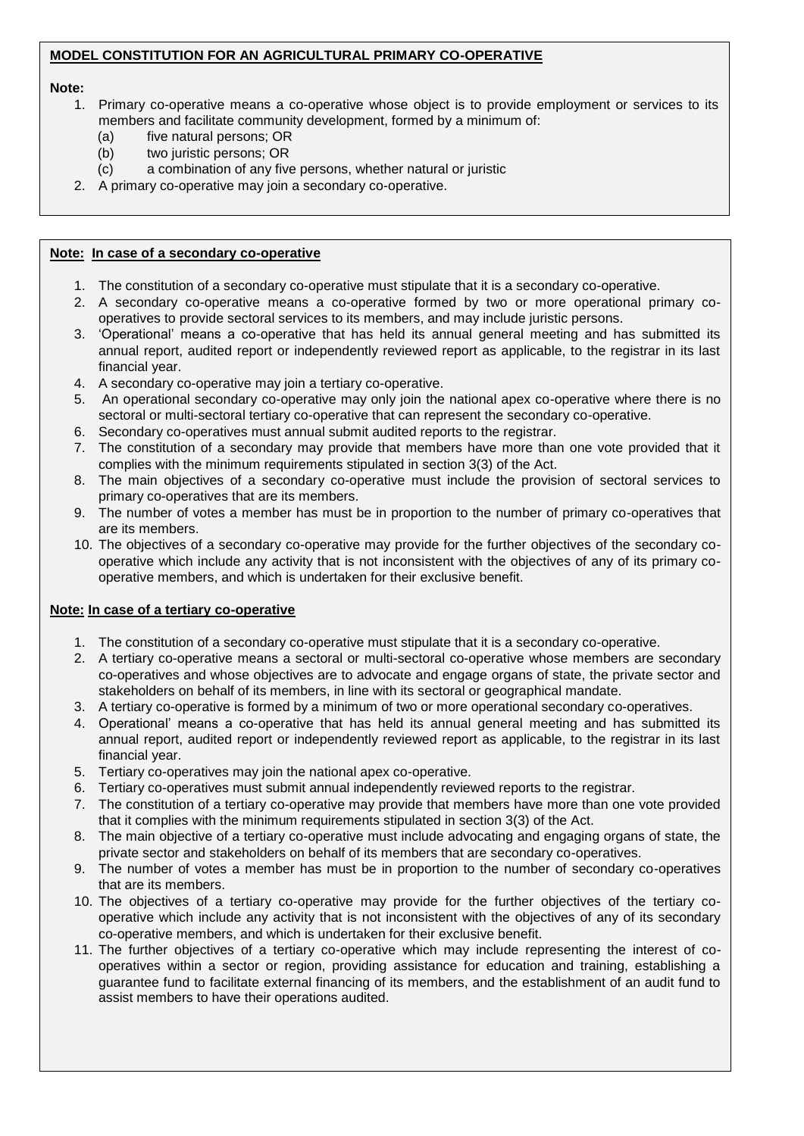#### **MODEL CONSTITUTION FOR AN AGRICULTURAL PRIMARY CO-OPERATIVE**

#### **Note:**

- 1. Primary co-operative means a co-operative whose object is to provide employment or services to its members and facilitate community development, formed by a minimum of:
	- (a) five natural persons; OR
	- (b) two juristic persons; OR
	- (c) a combination of any five persons, whether natural or juristic
- 2. A primary co-operative may join a secondary co-operative.

#### **Note: In case of a secondary co-operative**

- 1. The constitution of a secondary co-operative must stipulate that it is a secondary co-operative.
- 2. A secondary co-operative means a co-operative formed by two or more operational primary cooperatives to provide sectoral services to its members, and may include juristic persons.
- 3. 'Operational' means a co-operative that has held its annual general meeting and has submitted its annual report, audited report or independently reviewed report as applicable, to the registrar in its last financial year.
- 4. A secondary co-operative may join a tertiary co-operative.
- 5. An operational secondary co-operative may only join the national apex co-operative where there is no sectoral or multi-sectoral tertiary co-operative that can represent the secondary co-operative.
- 6. Secondary co-operatives must annual submit audited reports to the registrar.
- 7. The constitution of a secondary may provide that members have more than one vote provided that it complies with the minimum requirements stipulated in section 3(3) of the Act.
- 8. The main objectives of a secondary co-operative must include the provision of sectoral services to primary co-operatives that are its members.
- 9. The number of votes a member has must be in proportion to the number of primary co-operatives that are its members.
- 10. The objectives of a secondary co-operative may provide for the further objectives of the secondary cooperative which include any activity that is not inconsistent with the objectives of any of its primary cooperative members, and which is undertaken for their exclusive benefit.

#### **Note: In case of a tertiary co-operative**

- 1. The constitution of a secondary co-operative must stipulate that it is a secondary co-operative.
- 2. A tertiary co-operative means a sectoral or multi-sectoral co-operative whose members are secondary co-operatives and whose objectives are to advocate and engage organs of state, the private sector and stakeholders on behalf of its members, in line with its sectoral or geographical mandate.
- 3. A tertiary co-operative is formed by a minimum of two or more operational secondary co-operatives.
- 4. Operational' means a co-operative that has held its annual general meeting and has submitted its annual report, audited report or independently reviewed report as applicable, to the registrar in its last financial year.
- 5. Tertiary co-operatives may join the national apex co-operative.
- 6. Tertiary co-operatives must submit annual independently reviewed reports to the registrar.
- 7. The constitution of a tertiary co-operative may provide that members have more than one vote provided that it complies with the minimum requirements stipulated in section 3(3) of the Act.
- 8. The main objective of a tertiary co-operative must include advocating and engaging organs of state, the private sector and stakeholders on behalf of its members that are secondary co-operatives.
- 9. The number of votes a member has must be in proportion to the number of secondary co-operatives that are its members.
- 10. The objectives of a tertiary co-operative may provide for the further objectives of the tertiary cooperative which include any activity that is not inconsistent with the objectives of any of its secondary co-operative members, and which is undertaken for their exclusive benefit.
- 11. The further objectives of a tertiary co-operative which may include representing the interest of cooperatives within a sector or region, providing assistance for education and training, establishing a guarantee fund to facilitate external financing of its members, and the establishment of an audit fund to assist members to have their operations audited.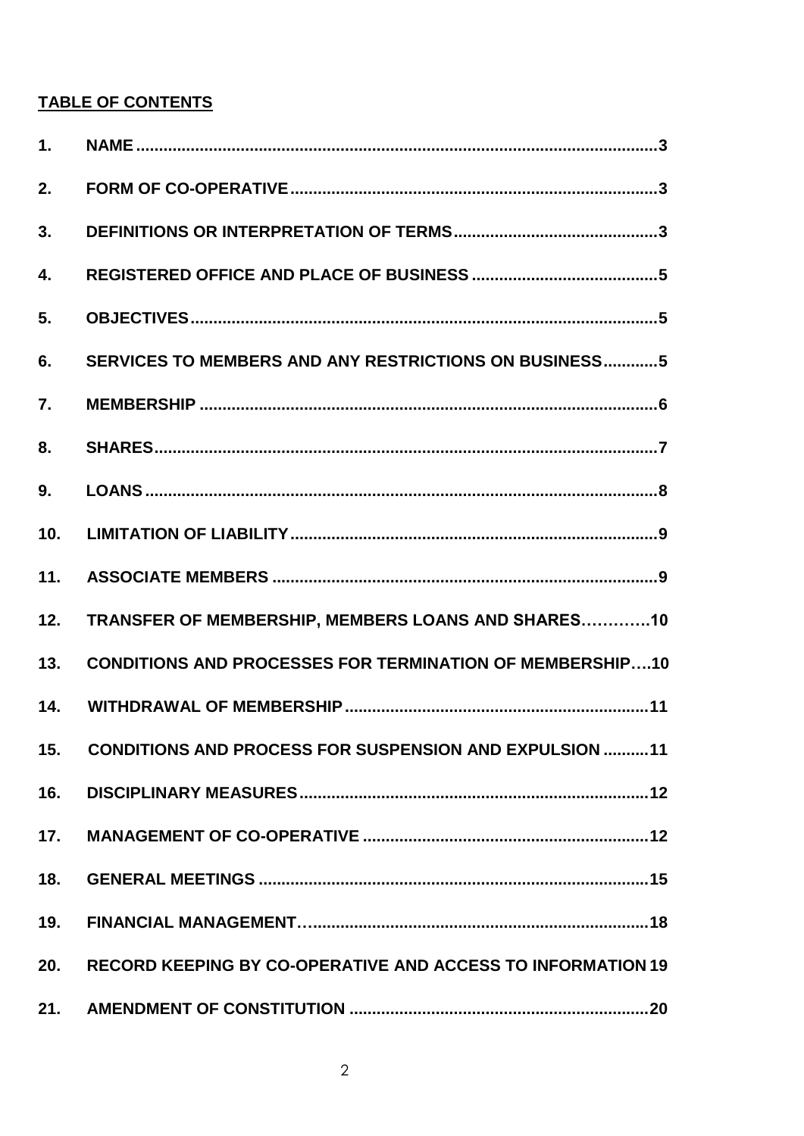# **TABLE OF CONTENTS**

| 1.  |                                                                    |
|-----|--------------------------------------------------------------------|
| 2.  |                                                                    |
| 3.  |                                                                    |
| 4.  |                                                                    |
| 5.  |                                                                    |
| 6.  | SERVICES TO MEMBERS AND ANY RESTRICTIONS ON BUSINESS5              |
| 7.  |                                                                    |
| 8.  |                                                                    |
| 9.  |                                                                    |
| 10. |                                                                    |
| 11. |                                                                    |
| 12. | TRANSFER OF MEMBERSHIP, MEMBERS LOANS AND SHARES10                 |
| 13. | <b>CONDITIONS AND PROCESSES FOR TERMINATION OF MEMBERSHIP10</b>    |
| 14. |                                                                    |
| 15. | <b>CONDITIONS AND PROCESS FOR SUSPENSION AND EXPULSION 11</b>      |
| 16. |                                                                    |
| 17. |                                                                    |
| 18. |                                                                    |
| 19. |                                                                    |
| 20. | <b>RECORD KEEPING BY CO-OPERATIVE AND ACCESS TO INFORMATION 19</b> |
| 21. |                                                                    |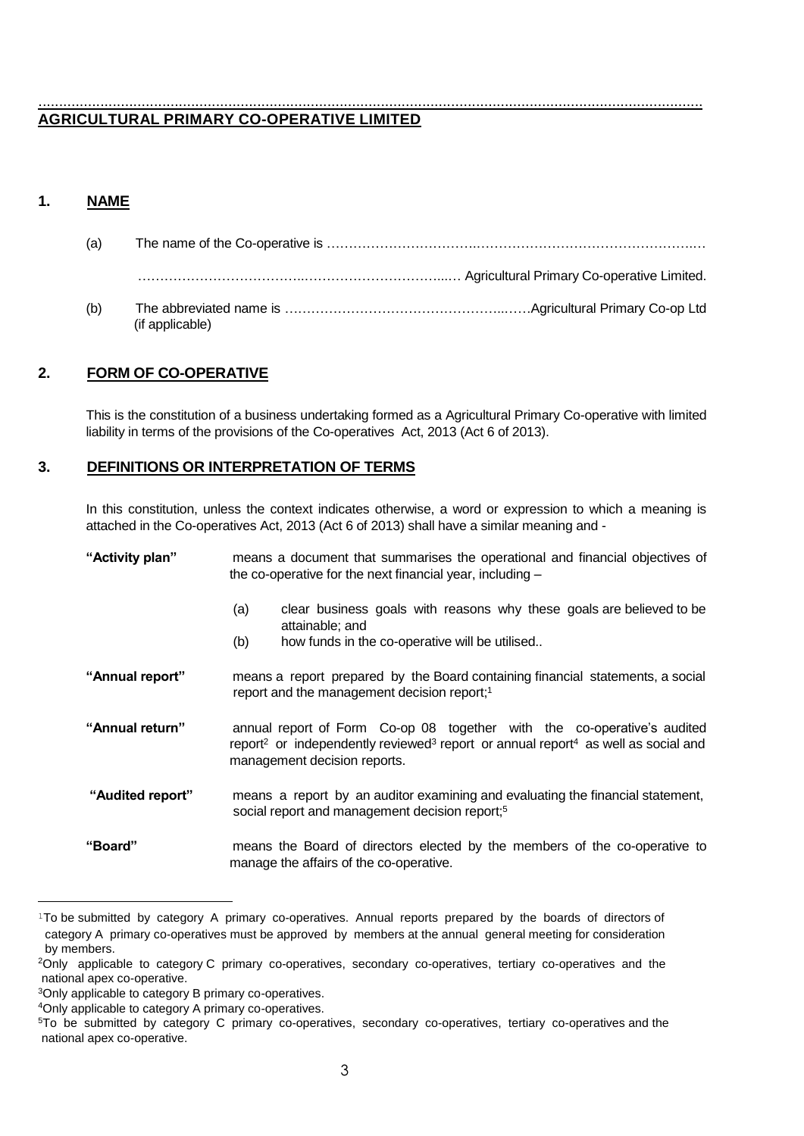#### ................................................................................................................................................................. **AGRICULTURAL PRIMARY CO-OPERATIVE LIMITED**

# <span id="page-2-0"></span>**1. NAME**

| (a) |                 |  |
|-----|-----------------|--|
|     |                 |  |
| (b) | (if applicable) |  |

# <span id="page-2-1"></span>**2. FORM OF CO-OPERATIVE**

This is the constitution of a business undertaking formed as a Agricultural Primary Co-operative with limited liability in terms of the provisions of the Co-operatives Act, 2013 (Act 6 of 2013).

# <span id="page-2-2"></span>**3. DEFINITIONS OR INTERPRETATION OF TERMS**

In this constitution, unless the context indicates otherwise, a word or expression to which a meaning is attached in the Co-operatives Act, 2013 (Act 6 of 2013) shall have a similar meaning and -

| "Activity plan"  | means a document that summarises the operational and financial objectives of<br>the co-operative for the next financial year, including $-$                                                                                      |  |  |
|------------------|----------------------------------------------------------------------------------------------------------------------------------------------------------------------------------------------------------------------------------|--|--|
|                  | clear business goals with reasons why these goals are believed to be<br>(a)<br>attainable; and<br>how funds in the co-operative will be utilised<br>(b)                                                                          |  |  |
| "Annual report"  | means a report prepared by the Board containing financial statements, a social<br>report and the management decision report; <sup>1</sup>                                                                                        |  |  |
| "Annual return"  | annual report of Form Co-op 08 together with the co-operative's audited<br>report <sup>2</sup> or independently reviewed <sup>3</sup> report or annual report <sup>4</sup> as well as social and<br>management decision reports. |  |  |
| "Audited report" | means a report by an auditor examining and evaluating the financial statement,<br>social report and management decision report; <sup>5</sup>                                                                                     |  |  |
| "Board"          | means the Board of directors elected by the members of the co-operative to<br>manage the affairs of the co-operative.                                                                                                            |  |  |

<sup>&</sup>lt;sup>1</sup>To be submitted by category A primary co-operatives. Annual reports prepared by the boards of directors of category A primary co-operatives must be approved by members at the annual general meeting for consideration by members.

<sup>2</sup>Only applicable to category C primary co-operatives, secondary co-operatives, tertiary co-operatives and the national apex co-operative.

<sup>3</sup>Only applicable to category B primary co-operatives.

<sup>4</sup>Only applicable to category A primary co-operatives.

<sup>5</sup>To be submitted by category C primary co-operatives, secondary co-operatives, tertiary co-operatives and the national apex co-operative.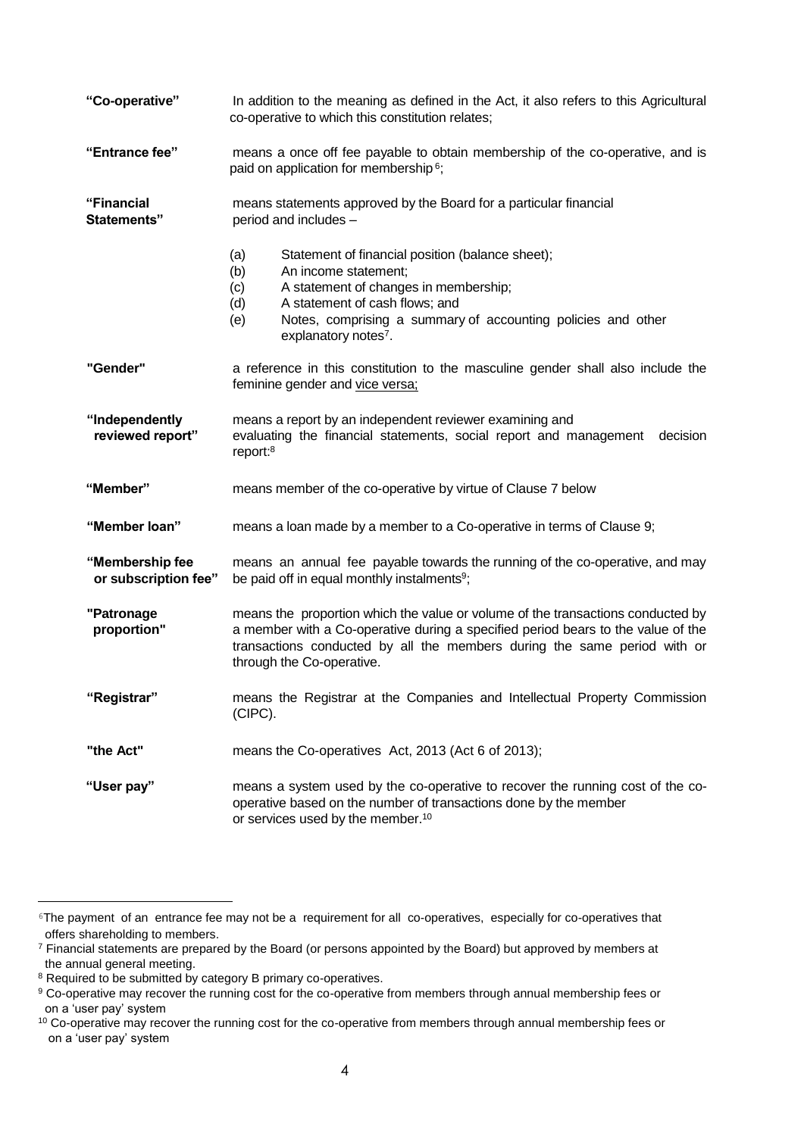| "Co-operative"                          | In addition to the meaning as defined in the Act, it also refers to this Agricultural<br>co-operative to which this constitution relates;                                                                                                                                                  |  |  |
|-----------------------------------------|--------------------------------------------------------------------------------------------------------------------------------------------------------------------------------------------------------------------------------------------------------------------------------------------|--|--|
| "Entrance fee"                          | means a once off fee payable to obtain membership of the co-operative, and is<br>paid on application for membership <sup>6</sup> ;                                                                                                                                                         |  |  |
| "Financial<br><b>Statements"</b>        | means statements approved by the Board for a particular financial<br>period and includes -                                                                                                                                                                                                 |  |  |
|                                         | Statement of financial position (balance sheet);<br>(a)<br>(b)<br>An income statement;<br>A statement of changes in membership;<br>(c)<br>A statement of cash flows; and<br>(d)<br>(e)<br>Notes, comprising a summary of accounting policies and other<br>explanatory notes <sup>7</sup> . |  |  |
| "Gender"                                | a reference in this constitution to the masculine gender shall also include the<br>feminine gender and vice versa;                                                                                                                                                                         |  |  |
| "Independently<br>reviewed report"      | means a report by an independent reviewer examining and<br>evaluating the financial statements, social report and management decision<br>report: <sup>8</sup>                                                                                                                              |  |  |
| "Member"                                | means member of the co-operative by virtue of Clause 7 below                                                                                                                                                                                                                               |  |  |
| "Member loan"                           | means a loan made by a member to a Co-operative in terms of Clause 9;                                                                                                                                                                                                                      |  |  |
| "Membership fee<br>or subscription fee" | means an annual fee payable towards the running of the co-operative, and may<br>be paid off in equal monthly instalments <sup>9</sup> ;                                                                                                                                                    |  |  |
| "Patronage<br>proportion"               | means the proportion which the value or volume of the transactions conducted by<br>a member with a Co-operative during a specified period bears to the value of the<br>transactions conducted by all the members during the same period with or<br>through the Co-operative.               |  |  |
| "Registrar"                             | means the Registrar at the Companies and Intellectual Property Commission<br>(CIPC).                                                                                                                                                                                                       |  |  |
| "the Act"                               | means the Co-operatives Act, 2013 (Act 6 of 2013);                                                                                                                                                                                                                                         |  |  |
| "User pay"                              | means a system used by the co-operative to recover the running cost of the co-<br>operative based on the number of transactions done by the member<br>or services used by the member. <sup>10</sup>                                                                                        |  |  |

<sup>6</sup>The payment of an entrance fee may not be a requirement for all co-operatives, especially for co-operatives that offers shareholding to members.

<sup>7</sup> Financial statements are prepared by the Board (or persons appointed by the Board) but approved by members at the annual general meeting.

<sup>&</sup>lt;sup>8</sup> Required to be submitted by category B primary co-operatives.

<sup>&</sup>lt;sup>9</sup> Co-operative may recover the running cost for the co-operative from members through annual membership fees or on a 'user pay' system

<sup>&</sup>lt;sup>10</sup> Co-operative may recover the running cost for the co-operative from members through annual membership fees or on a 'user pay' system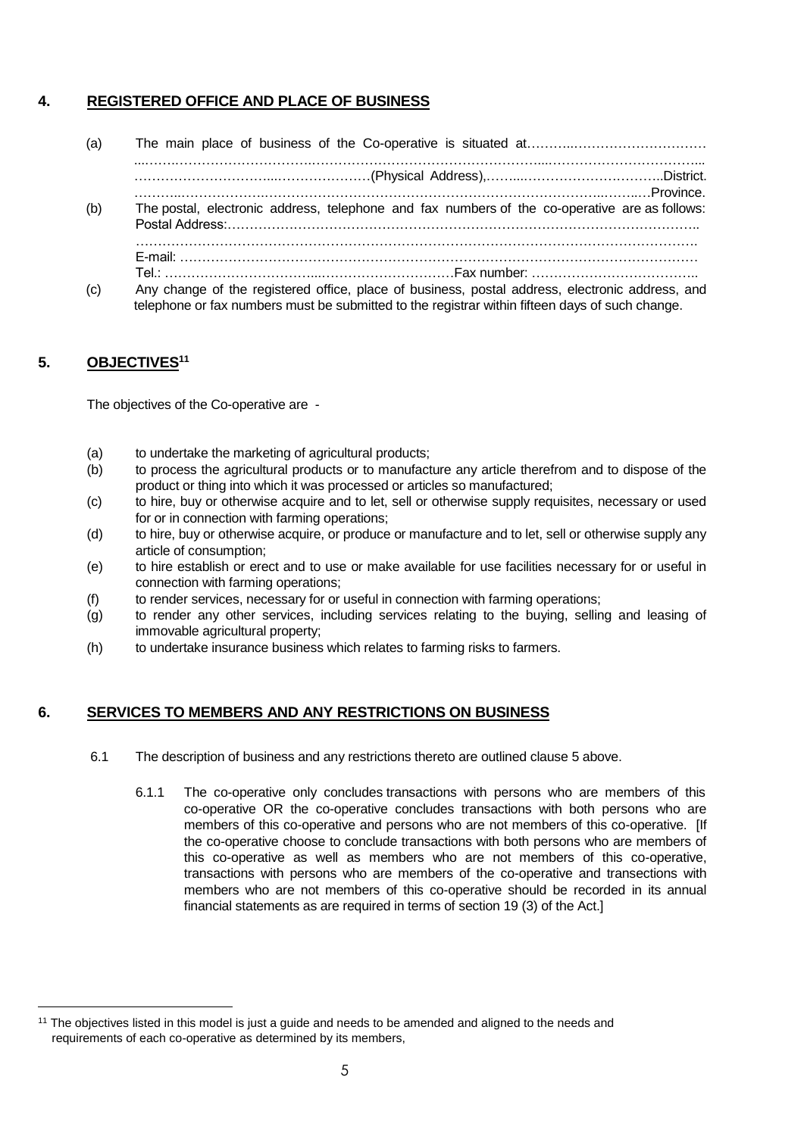# <span id="page-4-0"></span>**4. REGISTERED OFFICE AND PLACE OF BUSINESS**

(a) The main place of business of the Co-operative is situated at………..………………………… ...…….………………………….……………………………………………...……………………………... …………………………...…………………(Physical Address),……...…………………………..District. ………..……………….…………………………………………………………………..……..…Province. (b) The postal, electronic address, telephone and fax numbers of the co-operative are as follows: Postal Address:…………………………………………………………………………………………….. ………………………………………………………………………………………………………………. E-mail: ……………………………………………………………………………………………………… Tel.: ……………………………...…………………………Fax number: ……………………………….. (c) Any change of the registered office, place of business, postal address, electronic address, and telephone or fax numbers must be submitted to the registrar within fifteen days of such change.

# <span id="page-4-1"></span>**5. OBJECTIVES<sup>11</sup>**

÷.

The objectives of the Co-operative are -

- (a) to undertake the marketing of agricultural products;
- (b) to process the agricultural products or to manufacture any article therefrom and to dispose of the product or thing into which it was processed or articles so manufactured;
- (c) to hire, buy or otherwise acquire and to let, sell or otherwise supply requisites, necessary or used for or in connection with farming operations;
- (d) to hire, buy or otherwise acquire, or produce or manufacture and to let, sell or otherwise supply any article of consumption;
- (e) to hire establish or erect and to use or make available for use facilities necessary for or useful in connection with farming operations;
- (f) to render services, necessary for or useful in connection with farming operations;
- (g) to render any other services, including services relating to the buying, selling and leasing of immovable agricultural property;
- (h) to undertake insurance business which relates to farming risks to farmers.

#### <span id="page-4-2"></span>**6. SERVICES TO MEMBERS AND ANY RESTRICTIONS ON BUSINESS**

- 6.1 The description of business and any restrictions thereto are outlined clause 5 above.
	- 6.1.1 The co-operative only concludes transactions with persons who are members of this co-operative OR the co-operative concludes transactions with both persons who are members of this co-operative and persons who are not members of this co-operative. [If the co-operative choose to conclude transactions with both persons who are members of this co-operative as well as members who are not members of this co-operative, transactions with persons who are members of the co-operative and transections with members who are not members of this co-operative should be recorded in its annual financial statements as are required in terms of section 19 (3) of the Act.]

<sup>&</sup>lt;sup>11</sup> The objectives listed in this model is just a quide and needs to be amended and aligned to the needs and requirements of each co-operative as determined by its members,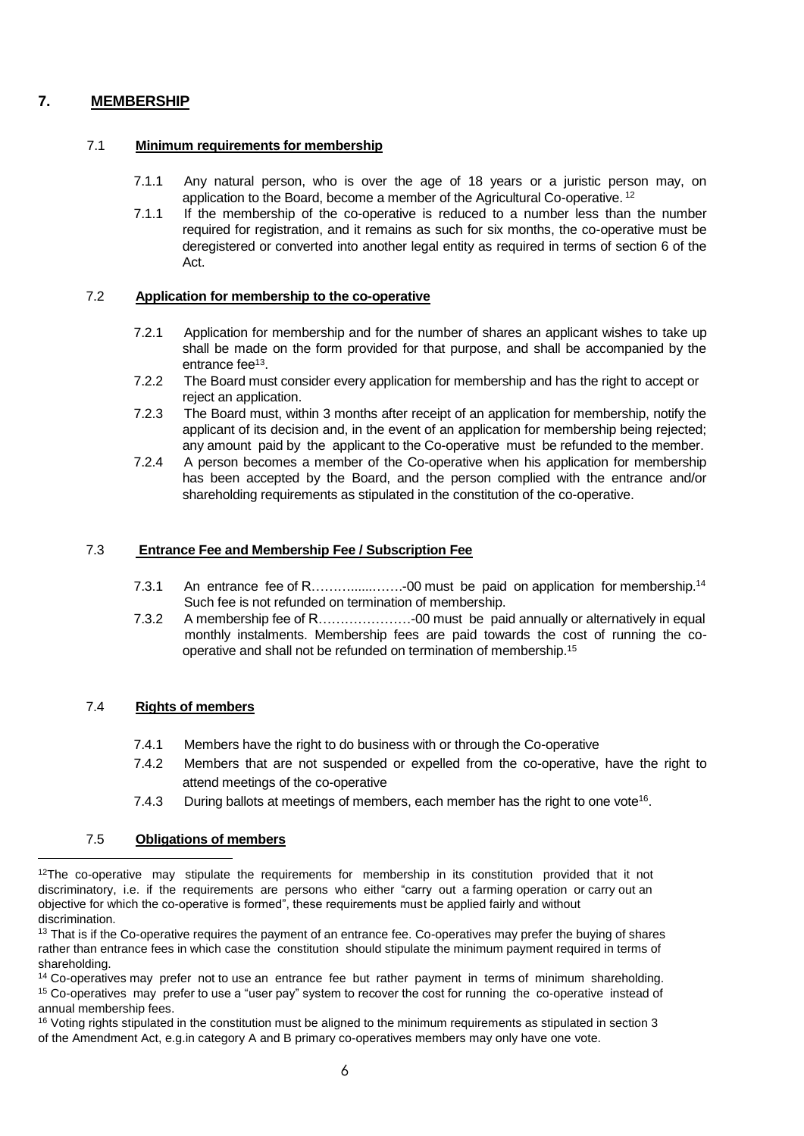# **7. MEMBERSHIP**

#### <span id="page-5-0"></span>7.1 **Minimum requirements for membership**

- 7.1.1 Any natural person, who is over the age of 18 years or a juristic person may, on application to the Board, become a member of the Agricultural Co-operative. <sup>12</sup>
- 7.1.1 If the membership of the co-operative is reduced to a number less than the number required for registration, and it remains as such for six months, the co-operative must be deregistered or converted into another legal entity as required in terms of section 6 of the Act.

#### 7.2 **Application for membership to the co-operative**

- 7.2.1 Application for membership and for the number of shares an applicant wishes to take up shall be made on the form provided for that purpose, and shall be accompanied by the entrance fee<sup>13</sup>.
- 7.2.2 The Board must consider every application for membership and has the right to accept or reject an application.
- 7.2.3 The Board must, within 3 months after receipt of an application for membership, notify the applicant of its decision and, in the event of an application for membership being rejected; any amount paid by the applicant to the Co-operative must be refunded to the member.
- 7.2.4 A person becomes a member of the Co-operative when his application for membership has been accepted by the Board, and the person complied with the entrance and/or shareholding requirements as stipulated in the constitution of the co-operative.

#### 7.3 **Entrance Fee and Membership Fee / Subscription Fee**

- 7.3.1 An entrance fee of R………......…….-00 must be paid on application for membership.<sup>14</sup> Such fee is not refunded on termination of membership.
- 7.3.2 A membership fee of R…………………-00 must be paid annually or alternatively in equal monthly instalments. Membership fees are paid towards the cost of running the cooperative and shall not be refunded on termination of membership.<sup>15</sup>

#### 7.4 **Rights of members**

- 7.4.1 Members have the right to do business with or through the Co-operative
- 7.4.2 Members that are not suspended or expelled from the co-operative, have the right to attend meetings of the co-operative
- 7.4.3 During ballots at meetings of members, each member has the right to one vote<sup>16</sup>.

#### 7.5 **Obligations of members**

 $12$ The co-operative may stipulate the requirements for membership in its constitution provided that it not discriminatory, i.e. if the requirements are persons who either "carry out a farming operation or carry out an objective for which the co-operative is formed", these requirements must be applied fairly and without discrimination.

<sup>&</sup>lt;sup>13</sup> That is if the Co-operative requires the payment of an entrance fee. Co-operatives may prefer the buying of shares rather than entrance fees in which case the constitution should stipulate the minimum payment required in terms of shareholding.

<sup>&</sup>lt;sup>14</sup> Co-operatives may prefer not to use an entrance fee but rather payment in terms of minimum shareholding. <sup>15</sup> Co-operatives may prefer to use a "user pay" system to recover the cost for running the co-operative instead of annual membership fees.

 $16$  Voting rights stipulated in the constitution must be aligned to the minimum requirements as stipulated in section 3 of the Amendment Act, e.g.in category A and B primary co-operatives members may only have one vote.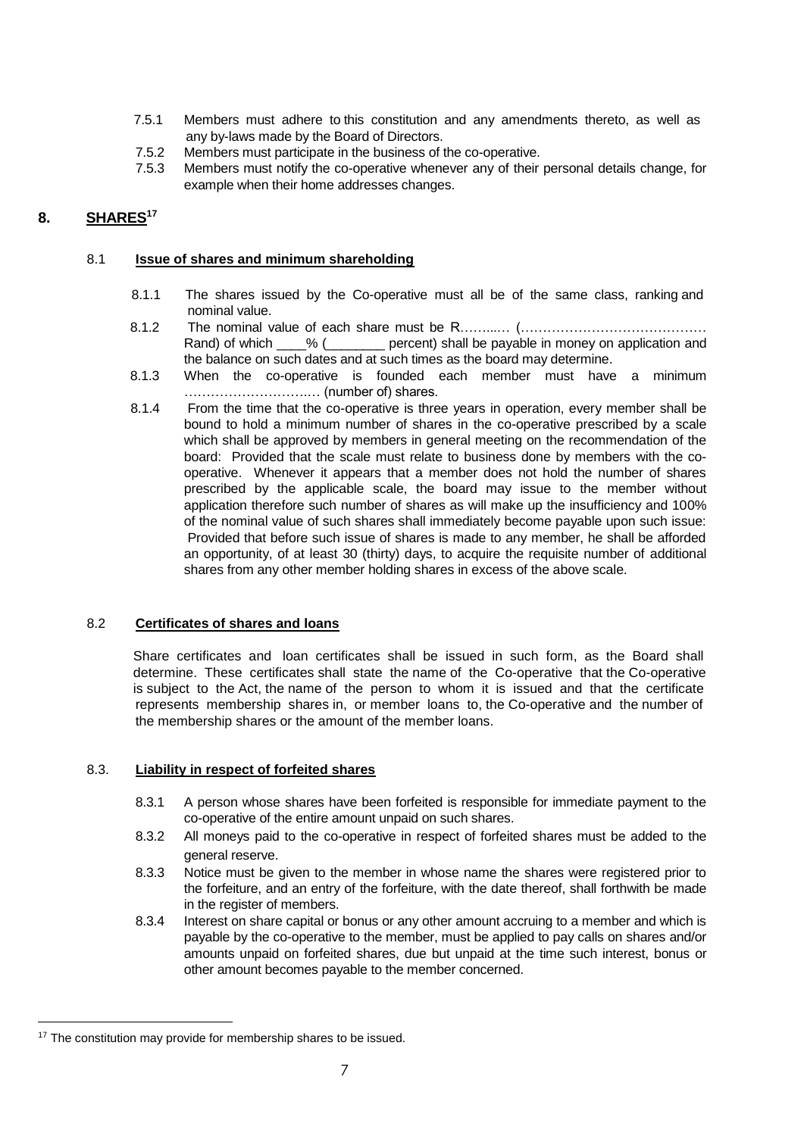- 7.5.1 Members must adhere to this constitution and any amendments thereto, as well as any by-laws made by the Board of Directors.
- 7.5.2 Members must participate in the business of the co-operative.
- <span id="page-6-0"></span>7.5.3 Members must notify the co-operative whenever any of their personal details change, for example when their home addresses changes.

## **8. SHARES<sup>17</sup>**

#### 8.1 **Issue of shares and minimum shareholding**

- 8.1.1 The shares issued by the Co-operative must all be of the same class, ranking and nominal value.
- 8.1.2 The nominal value of each share must be R………… (……………………………………………………………………… Rand) of which \_\_\_\_% (\_\_\_\_\_\_\_\_ percent) shall be payable in money on application and the balance on such dates and at such times as the board may determine.
- 8.1.3 When the co-operative is founded each member must have a minimum ……………………….… (number of) shares.
- 8.1.4 From the time that the co-operative is three years in operation, every member shall be bound to hold a minimum number of shares in the co-operative prescribed by a scale which shall be approved by members in general meeting on the recommendation of the board: Provided that the scale must relate to business done by members with the cooperative. Whenever it appears that a member does not hold the number of shares prescribed by the applicable scale, the board may issue to the member without application therefore such number of shares as will make up the insufficiency and 100% of the nominal value of such shares shall immediately become payable upon such issue: Provided that before such issue of shares is made to any member, he shall be afforded an opportunity, of at least 30 (thirty) days, to acquire the requisite number of additional shares from any other member holding shares in excess of the above scale.

#### 8.2 **Certificates of shares and loans**

 Share certificates and loan certificates shall be issued in such form, as the Board shall determine. These certificates shall state the name of the Co-operative that the Co-operative is subject to the Act, the name of the person to whom it is issued and that the certificate represents membership shares in, or member loans to, the Co-operative and the number of the membership shares or the amount of the member loans.

#### 8.3. **Liability in respect of forfeited shares**

- 8.3.1 A person whose shares have been forfeited is responsible for immediate payment to the co-operative of the entire amount unpaid on such shares.
- 8.3.2 All moneys paid to the co-operative in respect of forfeited shares must be added to the general reserve.
- 8.3.3 Notice must be given to the member in whose name the shares were registered prior to the forfeiture, and an entry of the forfeiture, with the date thereof, shall forthwith be made in the register of members.
- 8.3.4 Interest on share capital or bonus or any other amount accruing to a member and which is payable by the co-operative to the member, must be applied to pay calls on shares and/or amounts unpaid on forfeited shares, due but unpaid at the time such interest, bonus or other amount becomes payable to the member concerned.

<sup>&</sup>lt;sup>17</sup> The constitution may provide for membership shares to be issued.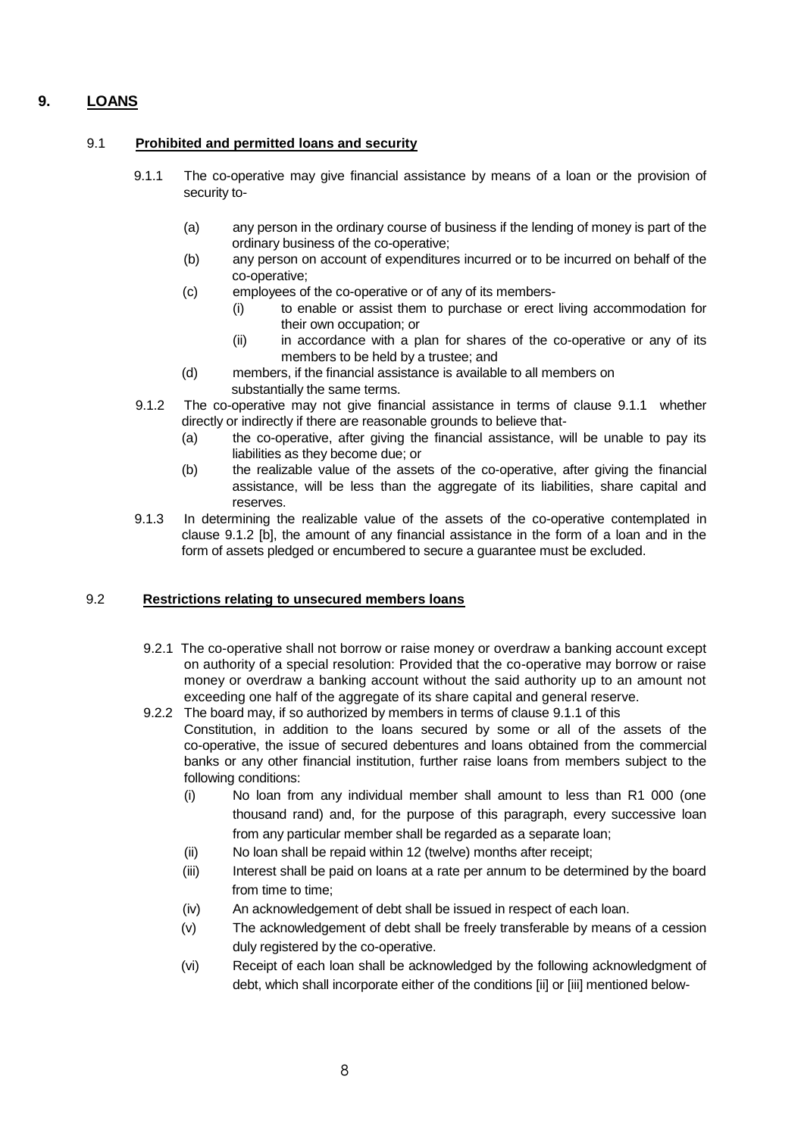# <span id="page-7-0"></span>**9. LOANS**

#### 9.1 **Prohibited and permitted loans and security**

- 9.1.1 The co-operative may give financial assistance by means of a loan or the provision of security to-
	- (a) any person in the ordinary course of business if the lending of money is part of the ordinary business of the co-operative;
	- (b) any person on account of expenditures incurred or to be incurred on behalf of the co-operative;
	- (c) employees of the co-operative or of any of its members-
		- (i) to enable or assist them to purchase or erect living accommodation for their own occupation; or
		- (ii) in accordance with a plan for shares of the co-operative or any of its members to be held by a trustee; and
	- (d) members, if the financial assistance is available to all members on substantially the same terms.
- 9.1.2 The co-operative may not give financial assistance in terms of clause 9.1.1 whether directly or indirectly if there are reasonable grounds to believe that-
	- (a) the co-operative, after giving the financial assistance, will be unable to pay its liabilities as they become due; or
	- (b) the realizable value of the assets of the co-operative, after giving the financial assistance, will be less than the aggregate of its liabilities, share capital and reserves.
- 9.1.3 In determining the realizable value of the assets of the co-operative contemplated in clause 9.1.2 [b], the amount of any financial assistance in the form of a loan and in the form of assets pledged or encumbered to secure a guarantee must be excluded.

#### 9.2 **Restrictions relating to unsecured members loans**

- 9.2.1 The co-operative shall not borrow or raise money or overdraw a banking account except on authority of a special resolution: Provided that the co-operative may borrow or raise money or overdraw a banking account without the said authority up to an amount not exceeding one half of the aggregate of its share capital and general reserve.
- 9.2.2 The board may, if so authorized by members in terms of clause 9.1.1 of this Constitution, in addition to the loans secured by some or all of the assets of the co-operative, the issue of secured debentures and loans obtained from the commercial banks or any other financial institution, further raise loans from members subject to the following conditions:
	- (i) No loan from any individual member shall amount to less than R1 000 (one thousand rand) and, for the purpose of this paragraph, every successive loan from any particular member shall be regarded as a separate loan;
	- (ii) No loan shall be repaid within 12 (twelve) months after receipt;
	- (iii) Interest shall be paid on loans at a rate per annum to be determined by the board from time to time;
	- (iv) An acknowledgement of debt shall be issued in respect of each loan.
	- (v) The acknowledgement of debt shall be freely transferable by means of a cession duly registered by the co-operative.
	- (vi) Receipt of each loan shall be acknowledged by the following acknowledgment of debt, which shall incorporate either of the conditions [ii] or [iii] mentioned below-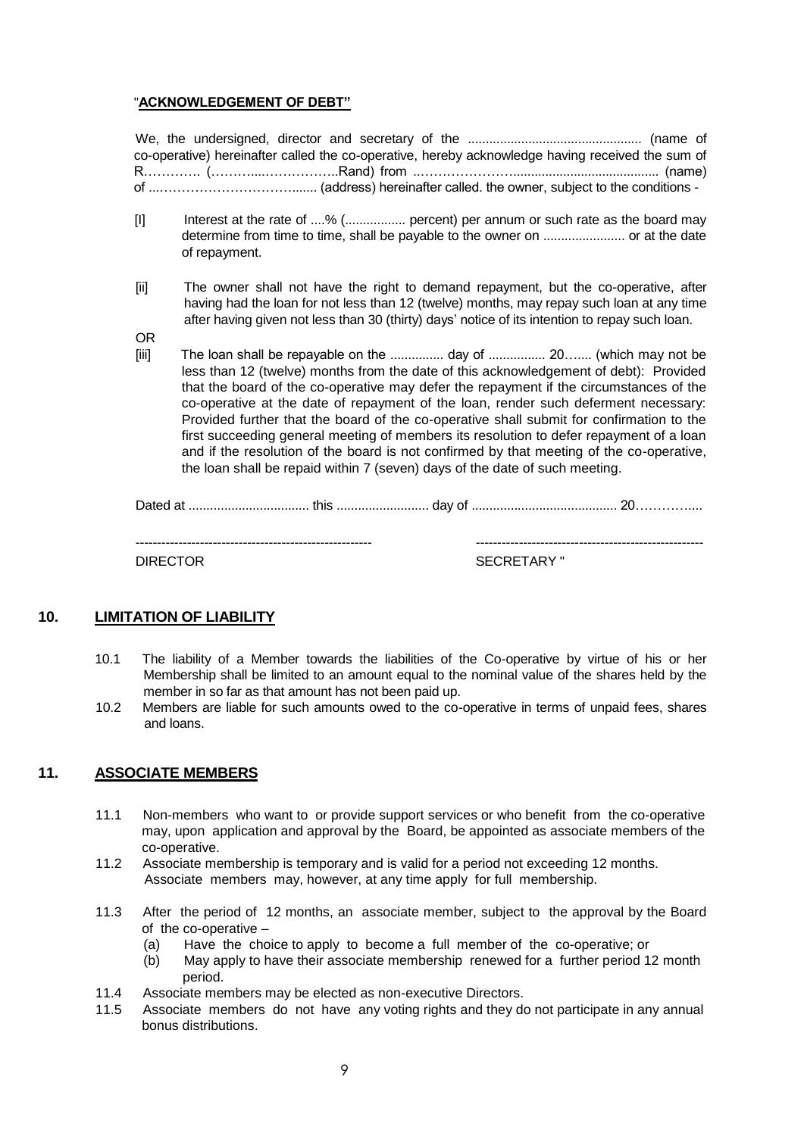#### "**ACKNOWLEDGEMENT OF DEBT"**

We, the undersigned, director and secretary of the ................................................. (name of co-operative) hereinafter called the co-operative, hereby acknowledge having received the sum of R…………. (………....……………..Rand) from ..…………………......................................... (name) of ...…………………………....... (address) hereinafter called. the owner, subject to the conditions -

- [I] Interest at the rate of ....% (................. percent) per annum or such rate as the board may determine from time to time, shall be payable to the owner on ....................... or at the date of repayment.
- [ii] The owner shall not have the right to demand repayment, but the co-operative, after having had the loan for not less than 12 (twelve) months, may repay such loan at any time after having given not less than 30 (thirty) days' notice of its intention to repay such loan.

OR

[iii] The loan shall be repayable on the ............... day of ................ 20….... (which may not be less than 12 (twelve) months from the date of this acknowledgement of debt): Provided that the board of the co-operative may defer the repayment if the circumstances of the co-operative at the date of repayment of the loan, render such deferment necessary: Provided further that the board of the co-operative shall submit for confirmation to the first succeeding general meeting of members its resolution to defer repayment of a loan and if the resolution of the board is not confirmed by that meeting of the co-operative, the loan shall be repaid within 7 (seven) days of the date of such meeting.

Dated at .................................. this .......................... day of ......................................... 20…………....

------------------------------------------------------- -----------------------------------------------------

DIRECTOR SECRETARY "

# **10. LIMITATION OF LIABILITY**

- <span id="page-8-0"></span>10.1 The liability of a Member towards the liabilities of the Co-operative by virtue of his or her Membership shall be limited to an amount equal to the nominal value of the shares held by the member in so far as that amount has not been paid up.
- 10.2 Members are liable for such amounts owed to the co-operative in terms of unpaid fees, shares and loans.

# **11. ASSOCIATE MEMBERS**

- <span id="page-8-1"></span>11.1 Non-members who want to or provide support services or who benefit from the co-operative may, upon application and approval by the Board, be appointed as associate members of the co-operative.
- 11.2 Associate membership is temporary and is valid for a period not exceeding 12 months. Associate members may, however, at any time apply for full membership.
- 11.3 After the period of 12 months, an associate member, subject to the approval by the Board of the co-operative –
	- (a) Have the choice to apply to become a full member of the co-operative; or
	- (b) May apply to have their associate membership renewed for a further period 12 month period.
- 11.4 Associate members may be elected as non-executive Directors.
- 11.5 Associate members do not have any voting rights and they do not participate in any annual bonus distributions.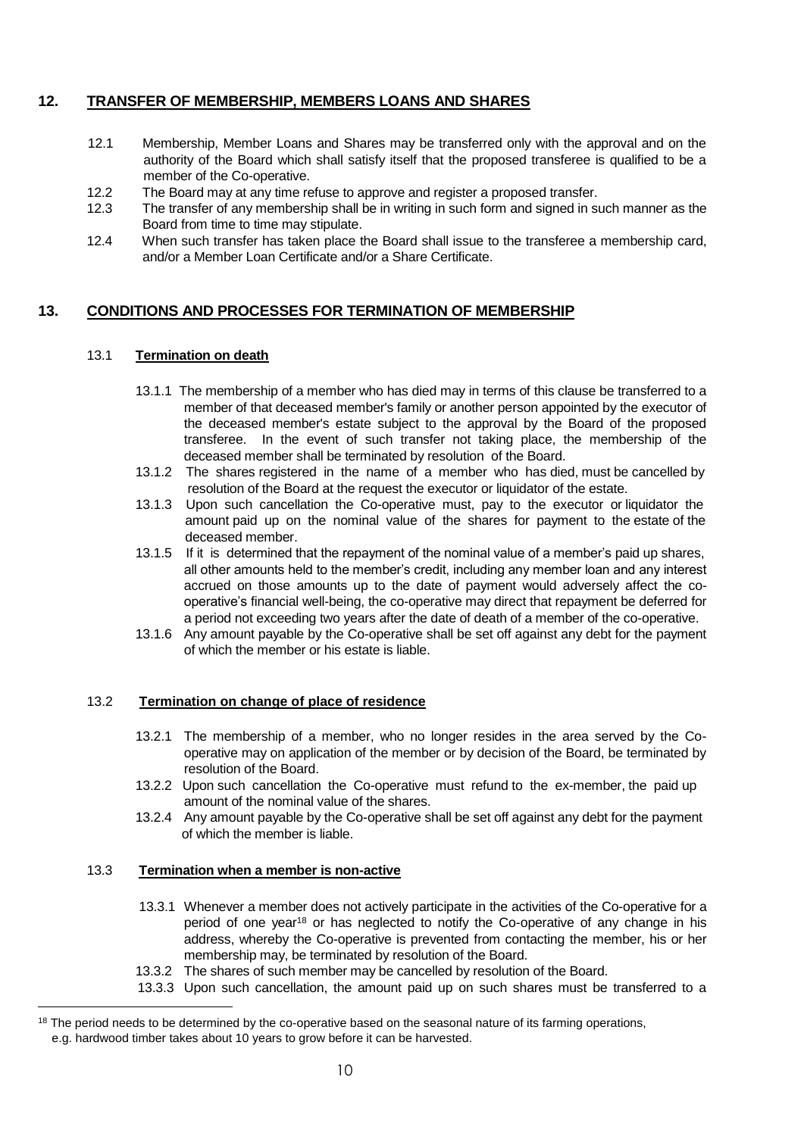# **12. TRANSFER OF MEMBERSHIP, MEMBERS LOANS AND SHARES**

- 12.1 Membership, Member Loans and Shares may be transferred only with the approval and on the authority of the Board which shall satisfy itself that the proposed transferee is qualified to be a member of the Co-operative.
- 12.2 The Board may at any time refuse to approve and register a proposed transfer.
- 12.3 The transfer of any membership shall be in writing in such form and signed in such manner as the Board from time to time may stipulate.
- 12.4 When such transfer has taken place the Board shall issue to the transferee a membership card, and/or a Member Loan Certificate and/or a Share Certificate.

# <span id="page-9-0"></span>**13. CONDITIONS AND PROCESSES FOR TERMINATION OF MEMBERSHIP**

#### 13.1 **Termination on death**

- 13.1.1 The membership of a member who has died may in terms of this clause be transferred to a member of that deceased member's family or another person appointed by the executor of the deceased member's estate subject to the approval by the Board of the proposed transferee. In the event of such transfer not taking place, the membership of the deceased member shall be terminated by resolution of the Board.
- 13.1.2 The shares registered in the name of a member who has died, must be cancelled by resolution of the Board at the request the executor or liquidator of the estate.
- 13.1.3 Upon such cancellation the Co-operative must, pay to the executor or liquidator the amount paid up on the nominal value of the shares for payment to the estate of the deceased member.
- 13.1.5 If it is determined that the repayment of the nominal value of a member's paid up shares, all other amounts held to the member's credit, including any member loan and any interest accrued on those amounts up to the date of payment would adversely affect the cooperative's financial well-being, the co-operative may direct that repayment be deferred for a period not exceeding two years after the date of death of a member of the co-operative.
- 13.1.6 Any amount payable by the Co-operative shall be set off against any debt for the payment of which the member or his estate is liable.

#### 13.2 **Termination on change of place of residence**

- 13.2.1 The membership of a member, who no longer resides in the area served by the Cooperative may on application of the member or by decision of the Board, be terminated by resolution of the Board.
- 13.2.2 Upon such cancellation the Co-operative must refund to the ex-member, the paid up amount of the nominal value of the shares.
- 13.2.4 Any amount payable by the Co-operative shall be set off against any debt for the payment of which the member is liable.

#### 13.3 **Termination when a member is non-active**

- 13.3.1 Whenever a member does not actively participate in the activities of the Co-operative for a period of one year<sup>18</sup> or has neglected to notify the Co-operative of any change in his address, whereby the Co-operative is prevented from contacting the member, his or her membership may, be terminated by resolution of the Board.
- 13.3.2 The shares of such member may be cancelled by resolution of the Board.
- 13.3.3 Upon such cancellation, the amount paid up on such shares must be transferred to a

<sup>&</sup>lt;sup>18</sup> The period needs to be determined by the co-operative based on the seasonal nature of its farming operations, e.g. hardwood timber takes about 10 years to grow before it can be harvested.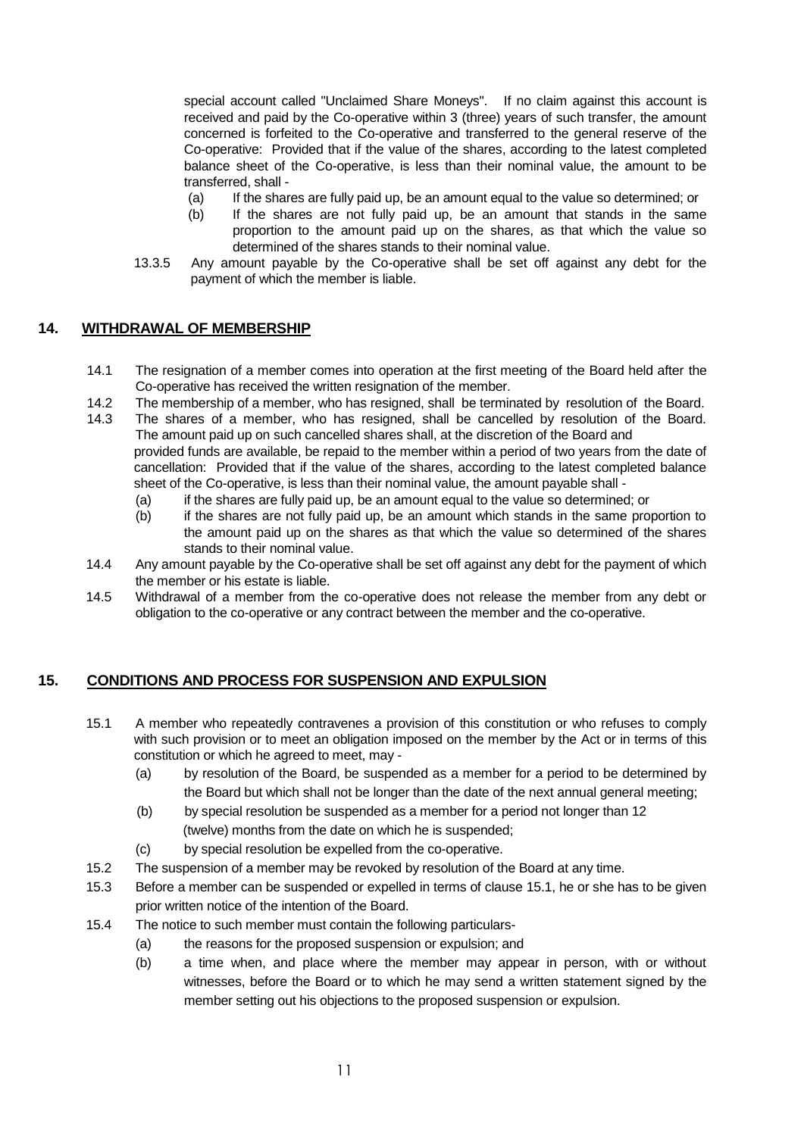special account called "Unclaimed Share Moneys". If no claim against this account is received and paid by the Co-operative within 3 (three) years of such transfer, the amount concerned is forfeited to the Co-operative and transferred to the general reserve of the Co-operative: Provided that if the value of the shares, according to the latest completed balance sheet of the Co-operative, is less than their nominal value, the amount to be transferred, shall -

- (a) If the shares are fully paid up, be an amount equal to the value so determined; or
- (b) If the shares are not fully paid up, be an amount that stands in the same proportion to the amount paid up on the shares, as that which the value so determined of the shares stands to their nominal value.
- 13.3.5 Any amount payable by the Co-operative shall be set off against any debt for the payment of which the member is liable.

# <span id="page-10-0"></span>**14. WITHDRAWAL OF MEMBERSHIP**

- 14.1 The resignation of a member comes into operation at the first meeting of the Board held after the Co-operative has received the written resignation of the member.
- 14.2 The membership of a member, who has resigned, shall be terminated by resolution of the Board.
- 14.3 The shares of a member, who has resigned, shall be cancelled by resolution of the Board. The amount paid up on such cancelled shares shall, at the discretion of the Board and provided funds are available, be repaid to the member within a period of two years from the date of cancellation: Provided that if the value of the shares, according to the latest completed balance sheet of the Co-operative, is less than their nominal value, the amount payable shall -
	- (a) if the shares are fully paid up, be an amount equal to the value so determined; or
	- (b) if the shares are not fully paid up, be an amount which stands in the same proportion to the amount paid up on the shares as that which the value so determined of the shares stands to their nominal value.
- 14.4 Any amount payable by the Co-operative shall be set off against any debt for the payment of which the member or his estate is liable.
- 14.5 Withdrawal of a member from the co-operative does not release the member from any debt or obligation to the co-operative or any contract between the member and the co-operative.

# <span id="page-10-1"></span>**15. CONDITIONS AND PROCESS FOR SUSPENSION AND EXPULSION**

- 15.1 A member who repeatedly contravenes a provision of this constitution or who refuses to comply with such provision or to meet an obligation imposed on the member by the Act or in terms of this constitution or which he agreed to meet, may -
	- (a) by resolution of the Board, be suspended as a member for a period to be determined by the Board but which shall not be longer than the date of the next annual general meeting;
	- (b) by special resolution be suspended as a member for a period not longer than 12 (twelve) months from the date on which he is suspended;
	- (c) by special resolution be expelled from the co-operative.
- 15.2 The suspension of a member may be revoked by resolution of the Board at any time.
- 15.3 Before a member can be suspended or expelled in terms of clause 15.1, he or she has to be given prior written notice of the intention of the Board.
- 15.4 The notice to such member must contain the following particulars-
	- (a) the reasons for the proposed suspension or expulsion; and
	- (b) a time when, and place where the member may appear in person, with or without witnesses, before the Board or to which he may send a written statement signed by the member setting out his objections to the proposed suspension or expulsion.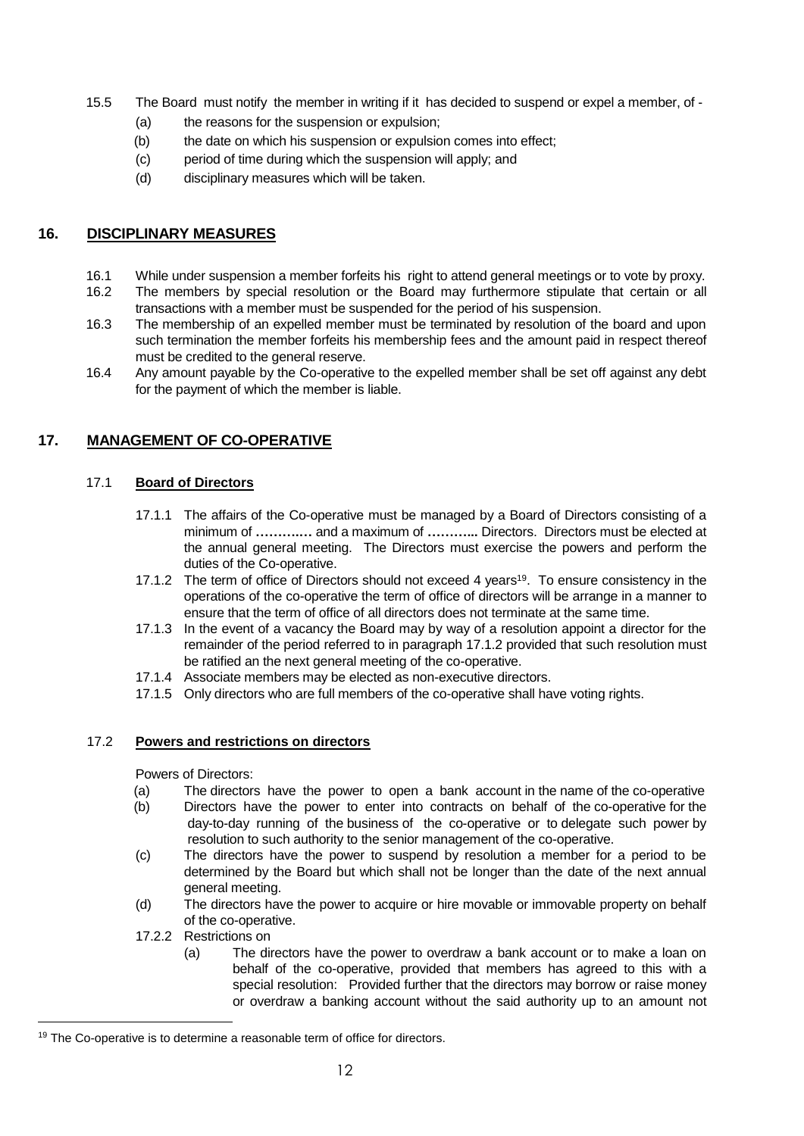- 15.5 The Board must notify the member in writing if it has decided to suspend or expel a member, of
	- (a) the reasons for the suspension or expulsion;
	- (b) the date on which his suspension or expulsion comes into effect;
	- (c) period of time during which the suspension will apply; and
	- (d) disciplinary measures which will be taken.

# <span id="page-11-0"></span>**16. DISCIPLINARY MEASURES**

- 16.1 While under suspension a member forfeits his right to attend general meetings or to vote by proxy.
- 16.2 The members by special resolution or the Board may furthermore stipulate that certain or all transactions with a member must be suspended for the period of his suspension.
- 16.3 The membership of an expelled member must be terminated by resolution of the board and upon such termination the member forfeits his membership fees and the amount paid in respect thereof must be credited to the general reserve.
- 16.4 Any amount payable by the Co-operative to the expelled member shall be set off against any debt for the payment of which the member is liable.

# <span id="page-11-1"></span>**17. MANAGEMENT OF CO-OPERATIVE**

# 17.1 **Board of Directors**

- 17.1.1 The affairs of the Co-operative must be managed by a Board of Directors consisting of a minimum of **……….…** and a maximum of **………...** Directors. Directors must be elected at the annual general meeting. The Directors must exercise the powers and perform the duties of the Co-operative.
- 17.1.2 The term of office of Directors should not exceed 4 years<sup>19</sup>. To ensure consistency in the operations of the co-operative the term of office of directors will be arrange in a manner to ensure that the term of office of all directors does not terminate at the same time.
- 17.1.3 In the event of a vacancy the Board may by way of a resolution appoint a director for the remainder of the period referred to in paragraph 17.1.2 provided that such resolution must be ratified an the next general meeting of the co-operative.
- 17.1.4 Associate members may be elected as non-executive directors.
- 17.1.5 Only directors who are full members of the co-operative shall have voting rights.

#### 17.2 **Powers and restrictions on directors**

Powers of Directors:

- (a) The directors have the power to open a bank account in the name of the co-operative
- (b) Directors have the power to enter into contracts on behalf of the co-operative for the day-to-day running of the business of the co-operative or to delegate such power by resolution to such authority to the senior management of the co-operative.
- (c) The directors have the power to suspend by resolution a member for a period to be determined by the Board but which shall not be longer than the date of the next annual general meeting.
- (d) The directors have the power to acquire or hire movable or immovable property on behalf of the co-operative.
- 17.2.2 Restrictions on

÷.

(a) The directors have the power to overdraw a bank account or to make a loan on behalf of the co-operative, provided that members has agreed to this with a special resolution: Provided further that the directors may borrow or raise money or overdraw a banking account without the said authority up to an amount not

<sup>&</sup>lt;sup>19</sup> The Co-operative is to determine a reasonable term of office for directors.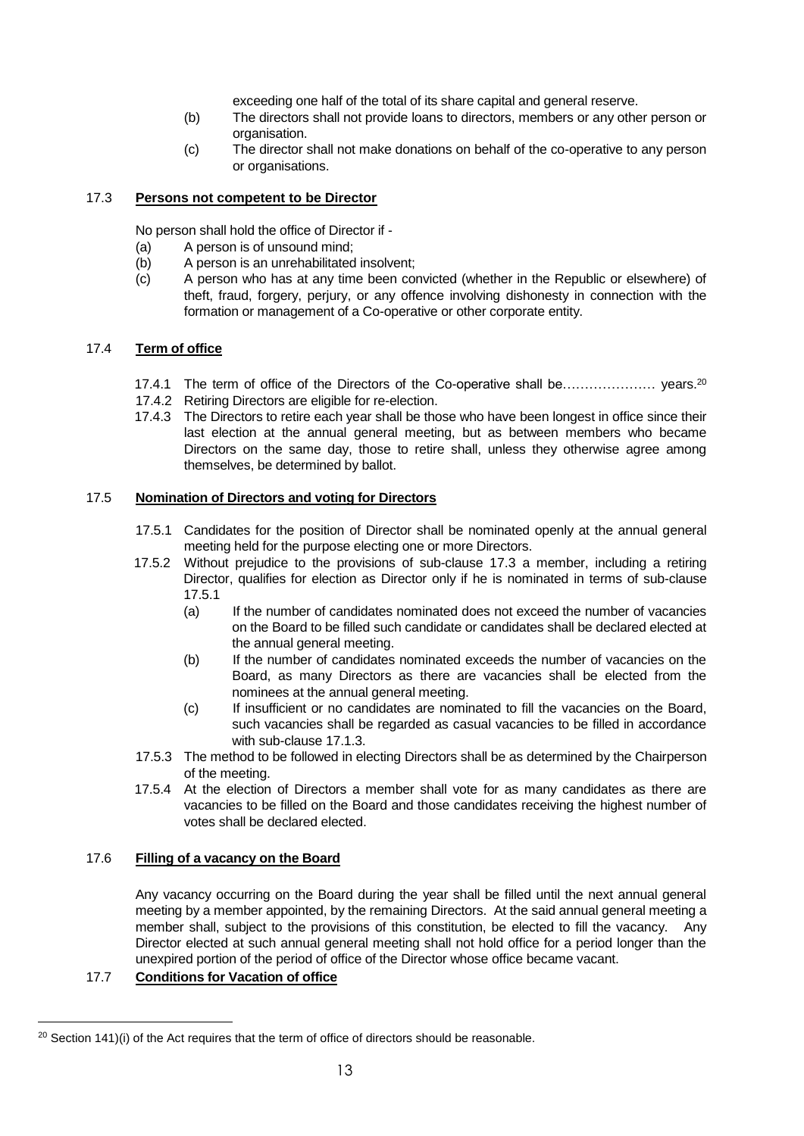exceeding one half of the total of its share capital and general reserve.

- (b) The directors shall not provide loans to directors, members or any other person or organisation.
- (c) The director shall not make donations on behalf of the co-operative to any person or organisations.

#### 17.3 **Persons not competent to be Director**

No person shall hold the office of Director if -

- (a) A person is of unsound mind;
- (b) A person is an unrehabilitated insolvent;
- (c) A person who has at any time been convicted (whether in the Republic or elsewhere) of theft, fraud, forgery, perjury, or any offence involving dishonesty in connection with the formation or management of a Co-operative or other corporate entity.

### 17.4 **Term of office**

- 17.4.1 The term of office of the Directors of the Co-operative shall be………………… years.<sup>20</sup>
- 17.4.2 Retiring Directors are eligible for re-election.
- 17.4.3 The Directors to retire each year shall be those who have been longest in office since their last election at the annual general meeting, but as between members who became Directors on the same day, those to retire shall, unless they otherwise agree among themselves, be determined by ballot.

### 17.5 **Nomination of Directors and voting for Directors**

- 17.5.1 Candidates for the position of Director shall be nominated openly at the annual general meeting held for the purpose electing one or more Directors.
- 17.5.2 Without prejudice to the provisions of sub-clause 17.3 a member, including a retiring Director, qualifies for election as Director only if he is nominated in terms of sub-clause 17.5.1
	- (a) If the number of candidates nominated does not exceed the number of vacancies on the Board to be filled such candidate or candidates shall be declared elected at the annual general meeting.
	- (b) If the number of candidates nominated exceeds the number of vacancies on the Board, as many Directors as there are vacancies shall be elected from the nominees at the annual general meeting.
	- (c) If insufficient or no candidates are nominated to fill the vacancies on the Board, such vacancies shall be regarded as casual vacancies to be filled in accordance with sub-clause 17.1.3.
- 17.5.3 The method to be followed in electing Directors shall be as determined by the Chairperson of the meeting.
- 17.5.4 At the election of Directors a member shall vote for as many candidates as there are vacancies to be filled on the Board and those candidates receiving the highest number of votes shall be declared elected.

#### 17.6 **Filling of a vacancy on the Board**

Any vacancy occurring on the Board during the year shall be filled until the next annual general meeting by a member appointed, by the remaining Directors. At the said annual general meeting a member shall, subject to the provisions of this constitution, be elected to fill the vacancy. Any Director elected at such annual general meeting shall not hold office for a period longer than the unexpired portion of the period of office of the Director whose office became vacant.

# 17.7 **Conditions for Vacation of office**

 $20$  Section 141)(i) of the Act requires that the term of office of directors should be reasonable.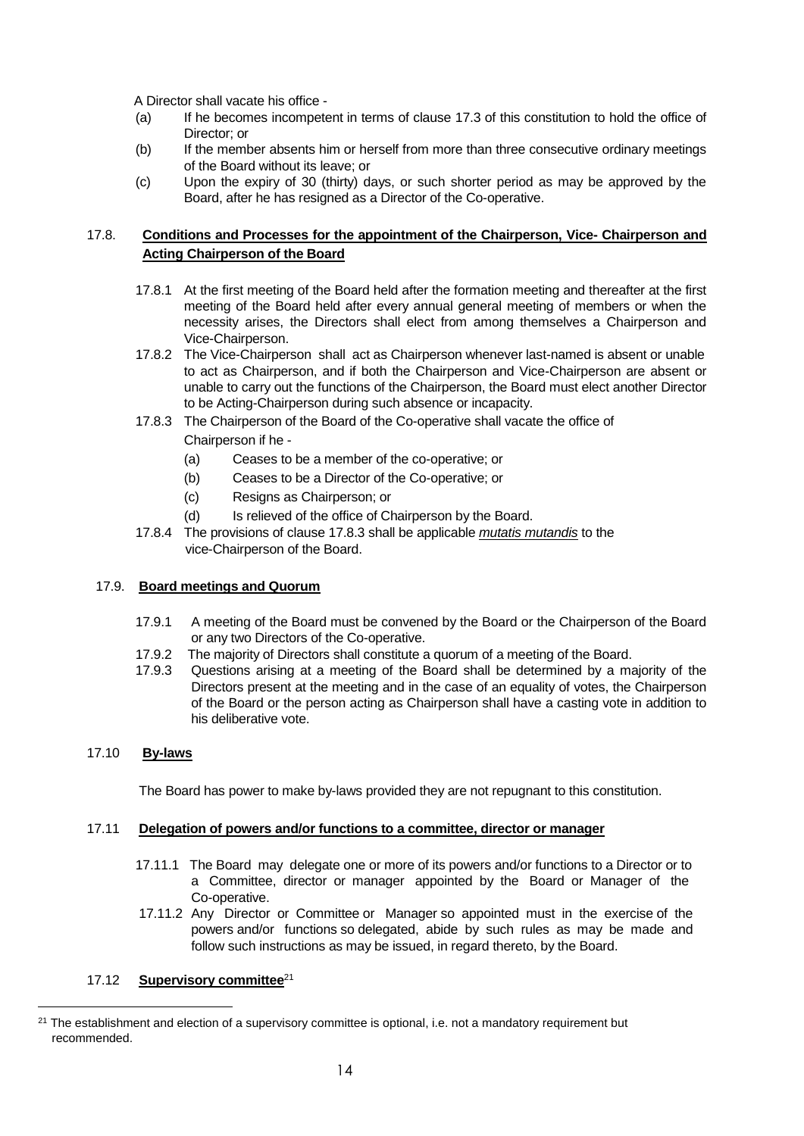A Director shall vacate his office -

- (a) If he becomes incompetent in terms of clause 17.3 of this constitution to hold the office of Director; or
- (b) If the member absents him or herself from more than three consecutive ordinary meetings of the Board without its leave; or
- (c) Upon the expiry of 30 (thirty) days, or such shorter period as may be approved by the Board, after he has resigned as a Director of the Co-operative.

### 17.8. **Conditions and Processes for the appointment of the Chairperson, Vice- Chairperson and Acting Chairperson of the Board**

- 17.8.1 At the first meeting of the Board held after the formation meeting and thereafter at the first meeting of the Board held after every annual general meeting of members or when the necessity arises, the Directors shall elect from among themselves a Chairperson and Vice-Chairperson.
- 17.8.2 The Vice-Chairperson shall act as Chairperson whenever last-named is absent or unable to act as Chairperson, and if both the Chairperson and Vice-Chairperson are absent or unable to carry out the functions of the Chairperson, the Board must elect another Director to be Acting-Chairperson during such absence or incapacity.
- 17.8.3 The Chairperson of the Board of the Co-operative shall vacate the office of Chairperson if he -
	- (a) Ceases to be a member of the co-operative; or
	- (b) Ceases to be a Director of the Co-operative; or
	- (c) Resigns as Chairperson; or
	- (d) Is relieved of the office of Chairperson by the Board.
- 17.8.4 The provisions of clause 17.8.3 shall be applicable *mutatis mutandis* to the vice-Chairperson of the Board.

#### 17.9. **Board meetings and Quorum**

- 17.9.1 A meeting of the Board must be convened by the Board or the Chairperson of the Board or any two Directors of the Co-operative.
- 17.9.2 The majority of Directors shall constitute a quorum of a meeting of the Board.
- 17.9.3 Questions arising at a meeting of the Board shall be determined by a majority of the Directors present at the meeting and in the case of an equality of votes, the Chairperson of the Board or the person acting as Chairperson shall have a casting vote in addition to his deliberative vote.

#### 17.10 **By-laws**

÷.

The Board has power to make by-laws provided they are not repugnant to this constitution.

#### 17.11 **Delegation of powers and/or functions to a committee, director or manager**

- 17.11.1 The Board may delegate one or more of its powers and/or functions to a Director or to a Committee, director or manager appointed by the Board or Manager of the Co-operative.
- 17.11.2 Any Director or Committee or Manager so appointed must in the exercise of the powers and/or functions so delegated, abide by such rules as may be made and follow such instructions as may be issued, in regard thereto, by the Board.

#### 17.12 **Supervisory committee**<sup>21</sup>

<sup>&</sup>lt;sup>21</sup> The establishment and election of a supervisory committee is optional, i.e. not a mandatory requirement but recommended.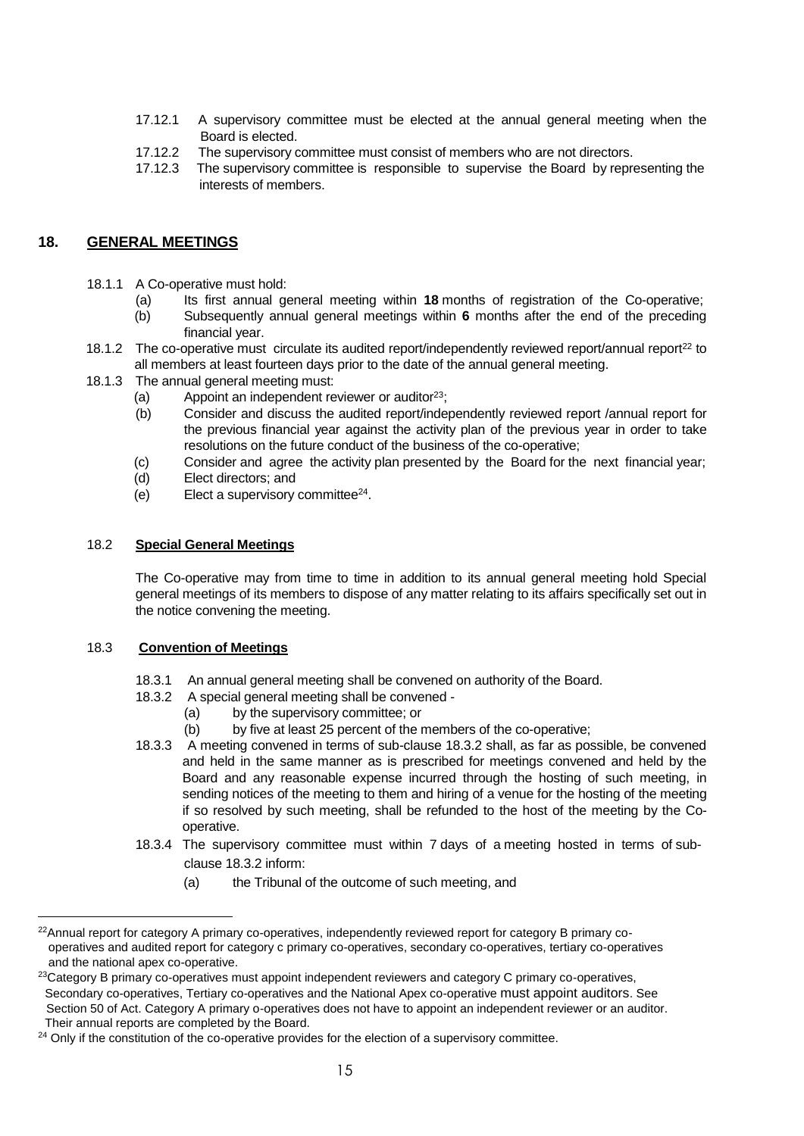- 17.12.1 A supervisory committee must be elected at the annual general meeting when the Board is elected.
- 17.12.2 The supervisory committee must consist of members who are not directors.
- 17.12.3 The supervisory committee is responsible to supervise the Board by representing the interests of members.

# <span id="page-14-0"></span>**18. GENERAL MEETINGS**

- 18.1.1 A Co-operative must hold:
	- (a) Its first annual general meeting within **18** months of registration of the Co-operative;
	- (b) Subsequently annual general meetings within **6** months after the end of the preceding financial year.
- 18.1.2 The co-operative must circulate its audited report/independently reviewed report/annual report<sup>22</sup> to all members at least fourteen days prior to the date of the annual general meeting.
- 18.1.3 The annual general meeting must:
	- (a) Appoint an independent reviewer or auditor  $23$ :
	- (b) Consider and discuss the audited report/independently reviewed report /annual report for the previous financial year against the activity plan of the previous year in order to take resolutions on the future conduct of the business of the co-operative;
	- (c) Consider and agree the activity plan presented by the Board for the next financial year;
	- (d) Elect directors; and
	- (e) Elect a supervisory committee<sup>24</sup> .

#### 18.2 **Special General Meetings**

The Co-operative may from time to time in addition to its annual general meeting hold Special general meetings of its members to dispose of any matter relating to its affairs specifically set out in the notice convening the meeting.

#### 18.3 **Convention of Meetings**

- 18.3.1 An annual general meeting shall be convened on authority of the Board.
- 18.3.2 A special general meeting shall be convened
	- (a) by the supervisory committee; or
	- (b) by five at least 25 percent of the members of the co-operative;
- 18.3.3 A meeting convened in terms of sub-clause 18.3.2 shall, as far as possible, be convened and held in the same manner as is prescribed for meetings convened and held by the Board and any reasonable expense incurred through the hosting of such meeting, in sending notices of the meeting to them and hiring of a venue for the hosting of the meeting if so resolved by such meeting, shall be refunded to the host of the meeting by the Cooperative.
- 18.3.4 The supervisory committee must within 7 days of a meeting hosted in terms of subclause 18.3.2 inform:
	- (a) the Tribunal of the outcome of such meeting, and

<sup>&</sup>lt;sup>22</sup>Annual report for category A primary co-operatives, independently reviewed report for category B primary co operatives and audited report for category c primary co-operatives, secondary co-operatives, tertiary co-operatives and the national apex co-operative.

<sup>&</sup>lt;sup>23</sup>Category B primary co-operatives must appoint independent reviewers and category C primary co-operatives, Secondary co-operatives, Tertiary co-operatives and the National Apex co-operative must appoint auditors. See Section 50 of Act. Category A primary o-operatives does not have to appoint an independent reviewer or an auditor. Their annual reports are completed by the Board.

 $24$  Only if the constitution of the co-operative provides for the election of a supervisory committee.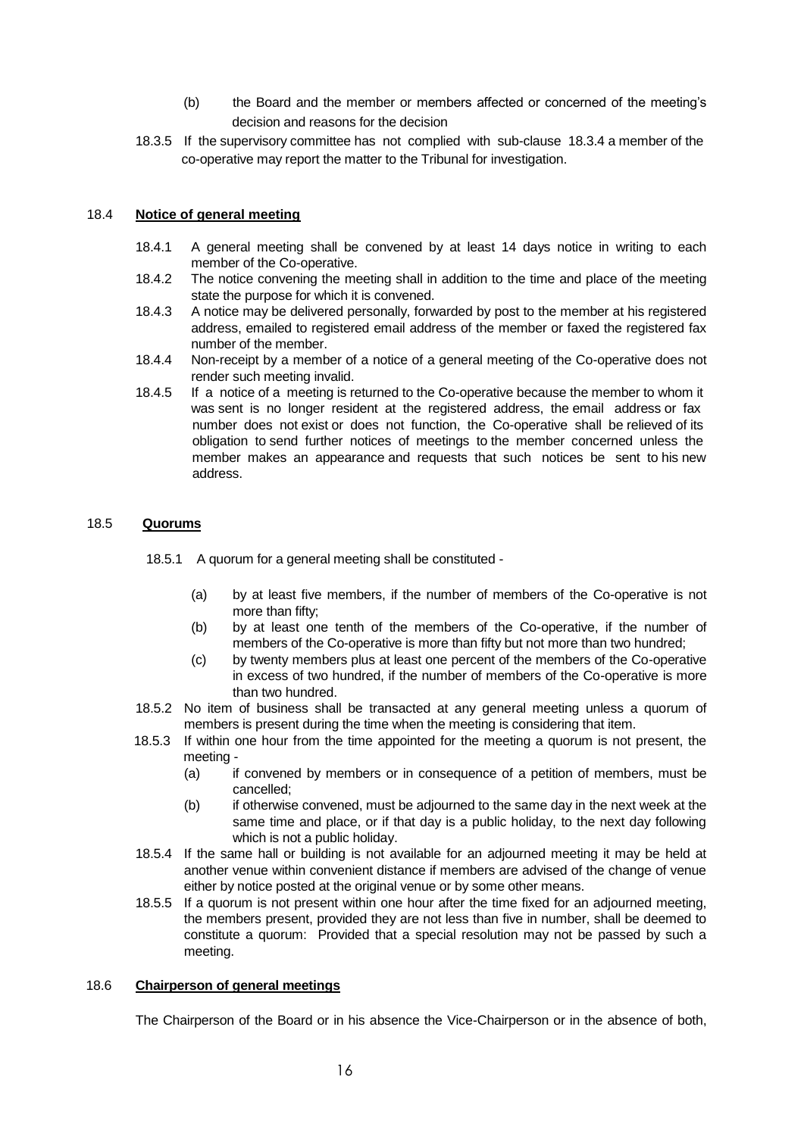- (b) the Board and the member or members affected or concerned of the meeting's decision and reasons for the decision
- 18.3.5 If the supervisory committee has not complied with sub-clause 18.3.4 a member of the co-operative may report the matter to the Tribunal for investigation.

#### 18.4 **Notice of general meeting**

- 18.4.1 A general meeting shall be convened by at least 14 days notice in writing to each member of the Co-operative.
- 18.4.2 The notice convening the meeting shall in addition to the time and place of the meeting state the purpose for which it is convened.
- 18.4.3 A notice may be delivered personally, forwarded by post to the member at his registered address, emailed to registered email address of the member or faxed the registered fax number of the member.
- 18.4.4 Non-receipt by a member of a notice of a general meeting of the Co-operative does not render such meeting invalid.
- 18.4.5 If a notice of a meeting is returned to the Co-operative because the member to whom it was sent is no longer resident at the registered address, the email address or fax number does not exist or does not function, the Co-operative shall be relieved of its obligation to send further notices of meetings to the member concerned unless the member makes an appearance and requests that such notices be sent to his new address.

### 18.5 **Quorums**

18.5.1 A quorum for a general meeting shall be constituted -

- (a) by at least five members, if the number of members of the Co-operative is not more than fifty;
- (b) by at least one tenth of the members of the Co-operative, if the number of members of the Co-operative is more than fifty but not more than two hundred;
- (c) by twenty members plus at least one percent of the members of the Co-operative in excess of two hundred, if the number of members of the Co-operative is more than two hundred.
- 18.5.2 No item of business shall be transacted at any general meeting unless a quorum of members is present during the time when the meeting is considering that item.
- 18.5.3 If within one hour from the time appointed for the meeting a quorum is not present, the meeting -
	- (a) if convened by members or in consequence of a petition of members, must be cancelled;
	- (b) if otherwise convened, must be adjourned to the same day in the next week at the same time and place, or if that day is a public holiday, to the next day following which is not a public holiday.
- 18.5.4 If the same hall or building is not available for an adjourned meeting it may be held at another venue within convenient distance if members are advised of the change of venue either by notice posted at the original venue or by some other means.
- 18.5.5 If a quorum is not present within one hour after the time fixed for an adjourned meeting, the members present, provided they are not less than five in number, shall be deemed to constitute a quorum: Provided that a special resolution may not be passed by such a meeting.

#### 18.6 **Chairperson of general meetings**

The Chairperson of the Board or in his absence the Vice-Chairperson or in the absence of both,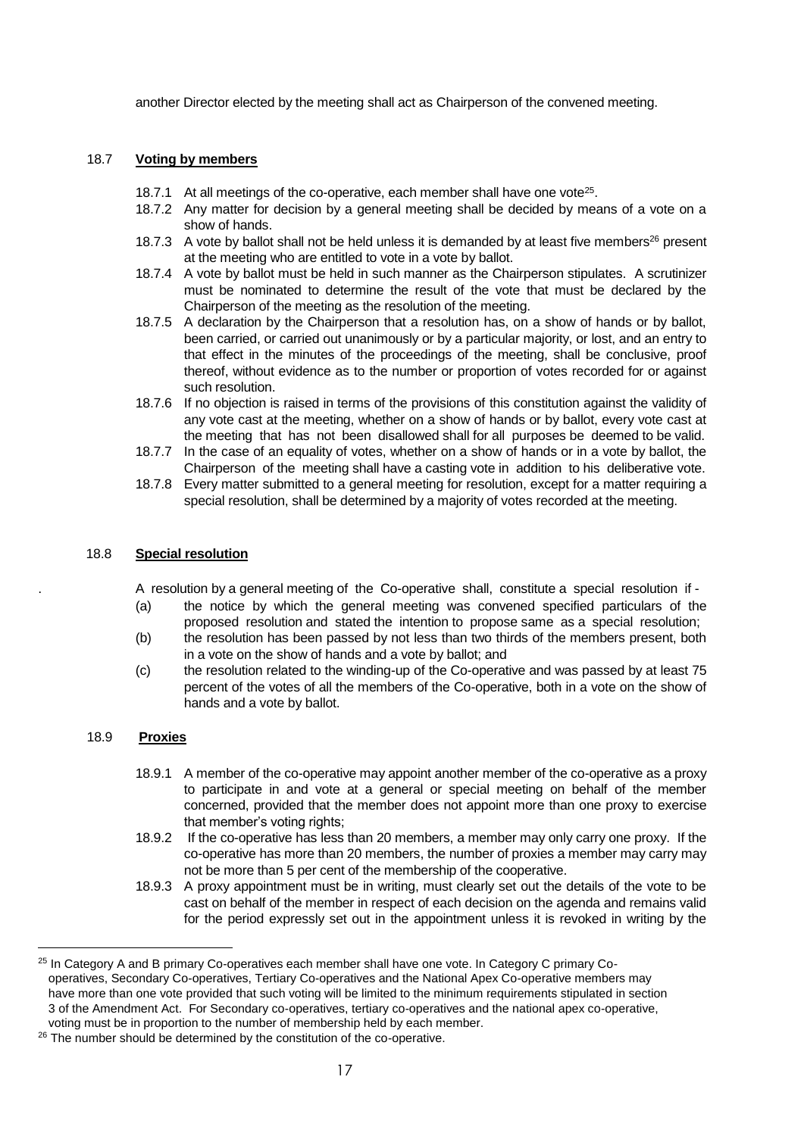another Director elected by the meeting shall act as Chairperson of the convened meeting.

#### 18.7 **Voting by members**

- 18.7.1 At all meetings of the co-operative, each member shall have one vote<sup>25</sup>.
- 18.7.2 Any matter for decision by a general meeting shall be decided by means of a vote on a show of hands.
- 18.7.3 A vote by ballot shall not be held unless it is demanded by at least five members<sup>26</sup> present at the meeting who are entitled to vote in a vote by ballot.
- 18.7.4 A vote by ballot must be held in such manner as the Chairperson stipulates. A scrutinizer must be nominated to determine the result of the vote that must be declared by the Chairperson of the meeting as the resolution of the meeting.
- 18.7.5 A declaration by the Chairperson that a resolution has, on a show of hands or by ballot, been carried, or carried out unanimously or by a particular majority, or lost, and an entry to that effect in the minutes of the proceedings of the meeting, shall be conclusive, proof thereof, without evidence as to the number or proportion of votes recorded for or against such resolution.
- 18.7.6 If no objection is raised in terms of the provisions of this constitution against the validity of any vote cast at the meeting, whether on a show of hands or by ballot, every vote cast at the meeting that has not been disallowed shall for all purposes be deemed to be valid.
- 18.7.7 In the case of an equality of votes, whether on a show of hands or in a vote by ballot, the Chairperson of the meeting shall have a casting vote in addition to his deliberative vote.
- 18.7.8 Every matter submitted to a general meeting for resolution, except for a matter requiring a special resolution, shall be determined by a majority of votes recorded at the meeting.

#### 18.8 **Special resolution**

. A resolution by a general meeting of the Co-operative shall, constitute a special resolution if -

- (a) the notice by which the general meeting was convened specified particulars of the proposed resolution and stated the intention to propose same as a special resolution;
- (b) the resolution has been passed by not less than two thirds of the members present, both in a vote on the show of hands and a vote by ballot; and
- (c) the resolution related to the winding-up of the Co-operative and was passed by at least 75 percent of the votes of all the members of the Co-operative, both in a vote on the show of hands and a vote by ballot.

#### 18.9 **Proxies**

- 18.9.1 A member of the co-operative may appoint another member of the co-operative as a proxy to participate in and vote at a general or special meeting on behalf of the member concerned, provided that the member does not appoint more than one proxy to exercise that member's voting rights:
- 18.9.2 If the co-operative has less than 20 members, a member may only carry one proxy. If the co-operative has more than 20 members, the number of proxies a member may carry may not be more than 5 per cent of the membership of the cooperative.
- 18.9.3 A proxy appointment must be in writing, must clearly set out the details of the vote to be cast on behalf of the member in respect of each decision on the agenda and remains valid for the period expressly set out in the appointment unless it is revoked in writing by the

<sup>&</sup>lt;sup>25</sup> In Category A and B primary Co-operatives each member shall have one vote. In Category C primary Co operatives, Secondary Co-operatives, Tertiary Co-operatives and the National Apex Co-operative members may have more than one vote provided that such voting will be limited to the minimum requirements stipulated in section 3 of the Amendment Act. For Secondary co-operatives, tertiary co-operatives and the national apex co-operative, voting must be in proportion to the number of membership held by each member.

<sup>&</sup>lt;sup>26</sup> The number should be determined by the constitution of the co-operative.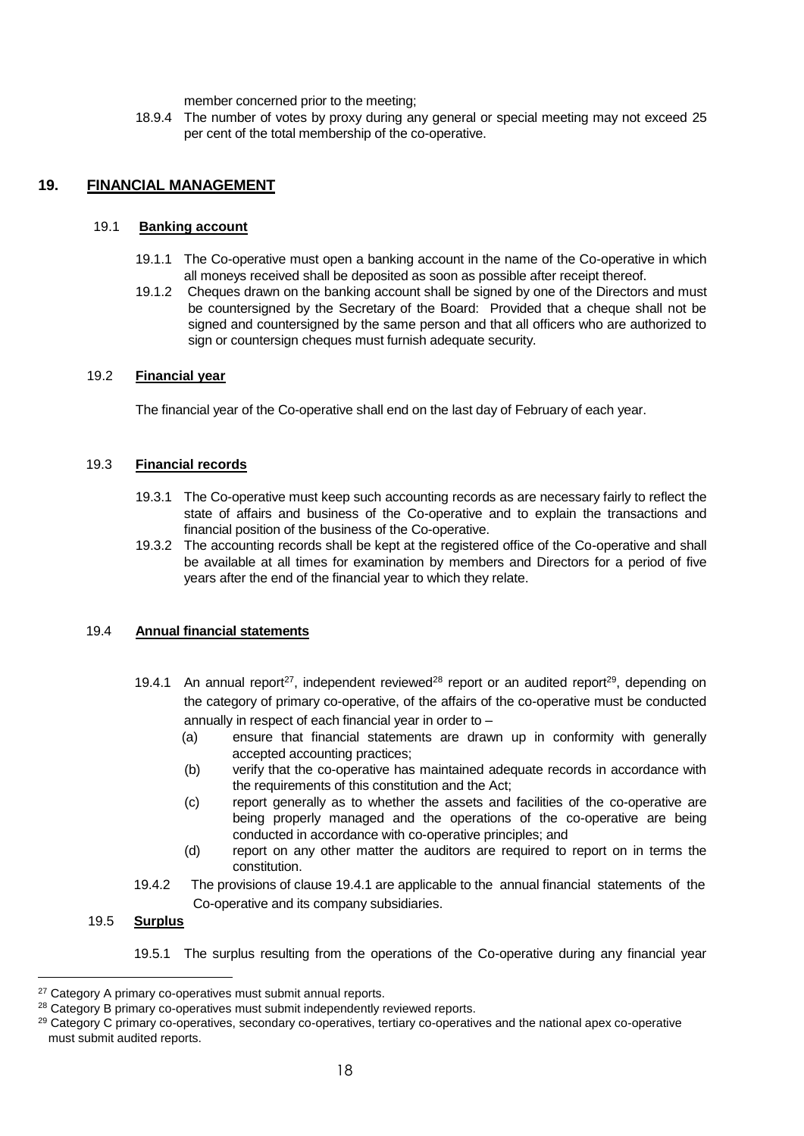member concerned prior to the meeting;

18.9.4 The number of votes by proxy during any general or special meeting may not exceed 25 per cent of the total membership of the co-operative.

# <span id="page-17-0"></span>**19. FINANCIAL MANAGEMENT**

#### 19.1 **Banking account**

- 19.1.1 The Co-operative must open a banking account in the name of the Co-operative in which all moneys received shall be deposited as soon as possible after receipt thereof.
- 19.1.2 Cheques drawn on the banking account shall be signed by one of the Directors and must be countersigned by the Secretary of the Board: Provided that a cheque shall not be signed and countersigned by the same person and that all officers who are authorized to sign or countersign cheques must furnish adequate security.

#### 19.2 **Financial year**

The financial year of the Co-operative shall end on the last day of February of each year.

#### 19.3 **Financial records**

- 19.3.1 The Co-operative must keep such accounting records as are necessary fairly to reflect the state of affairs and business of the Co-operative and to explain the transactions and financial position of the business of the Co-operative.
- 19.3.2 The accounting records shall be kept at the registered office of the Co-operative and shall be available at all times for examination by members and Directors for a period of five years after the end of the financial year to which they relate.

#### 19.4 **Annual financial statements**

- 19.4.1 An annual report<sup>27</sup>, independent reviewed<sup>28</sup> report or an audited report<sup>29</sup>, depending on the category of primary co-operative, of the affairs of the co-operative must be conducted annually in respect of each financial year in order to –
	- (a) ensure that financial statements are drawn up in conformity with generally accepted accounting practices;
	- (b) verify that the co-operative has maintained adequate records in accordance with the requirements of this constitution and the Act;
	- (c) report generally as to whether the assets and facilities of the co-operative are being properly managed and the operations of the co-operative are being conducted in accordance with co-operative principles; and
	- (d) report on any other matter the auditors are required to report on in terms the constitution.
- 19.4.2 The provisions of clause 19.4.1 are applicable to the annual financial statements of the Co-operative and its company subsidiaries.

## 19.5 **Surplus**

i<br>L

19.5.1 The surplus resulting from the operations of the Co-operative during any financial year

<sup>&</sup>lt;sup>27</sup> Category A primary co-operatives must submit annual reports.

<sup>&</sup>lt;sup>28</sup> Category B primary co-operatives must submit independently reviewed reports.

<sup>&</sup>lt;sup>29</sup> Category C primary co-operatives, secondary co-operatives, tertiary co-operatives and the national apex co-operative must submit audited reports.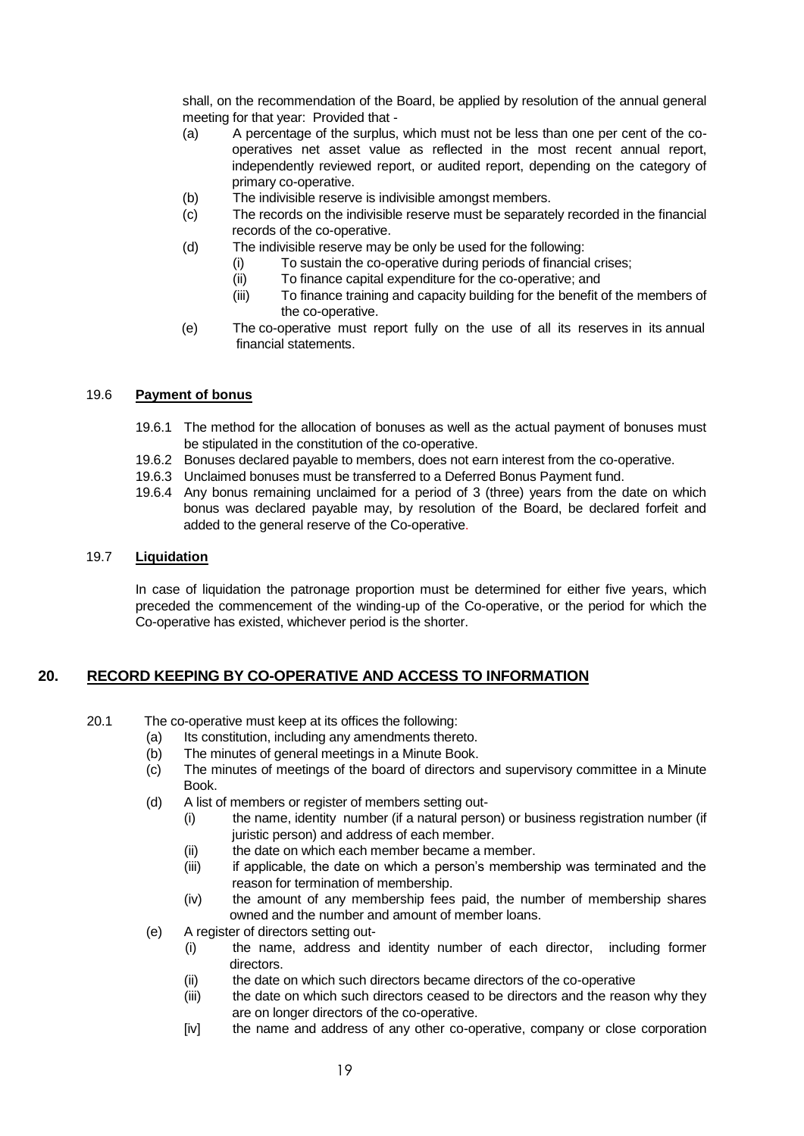shall, on the recommendation of the Board, be applied by resolution of the annual general meeting for that year: Provided that -

- (a) A percentage of the surplus, which must not be less than one per cent of the cooperatives net asset value as reflected in the most recent annual report, independently reviewed report, or audited report, depending on the category of primary co-operative.
- (b) The indivisible reserve is indivisible amongst members.
- (c) The records on the indivisible reserve must be separately recorded in the financial records of the co-operative.
- (d) The indivisible reserve may be only be used for the following:
	- (i) To sustain the co-operative during periods of financial crises;
	- (ii) To finance capital expenditure for the co-operative; and
	- (iii) To finance training and capacity building for the benefit of the members of the co-operative.
- (e) The co-operative must report fully on the use of all its reserves in its annual financial statements.

#### 19.6 **Payment of bonus**

- 19.6.1 The method for the allocation of bonuses as well as the actual payment of bonuses must be stipulated in the constitution of the co-operative.
- 19.6.2 Bonuses declared payable to members, does not earn interest from the co-operative.
- 19.6.3 Unclaimed bonuses must be transferred to a Deferred Bonus Payment fund.
- 19.6.4 Any bonus remaining unclaimed for a period of 3 (three) years from the date on which bonus was declared payable may, by resolution of the Board, be declared forfeit and added to the general reserve of the Co-operative.

#### 19.7 **Liquidation**

In case of liquidation the patronage proportion must be determined for either five years, which preceded the commencement of the winding-up of the Co-operative, or the period for which the Co-operative has existed, whichever period is the shorter.

# <span id="page-18-0"></span>**20. RECORD KEEPING BY CO-OPERATIVE AND ACCESS TO INFORMATION**

- 20.1 The co-operative must keep at its offices the following:
	- (a) Its constitution, including any amendments thereto.
	- (b) The minutes of general meetings in a Minute Book.
	- (c) The minutes of meetings of the board of directors and supervisory committee in a Minute Book.
	- (d) A list of members or register of members setting out-
		- (i) the name, identity number (if a natural person) or business registration number (if juristic person) and address of each member.
		- (ii) the date on which each member became a member.
		- (iii) if applicable, the date on which a person's membership was terminated and the reason for termination of membership.
		- (iv) the amount of any membership fees paid, the number of membership shares owned and the number and amount of member loans.
	- (e) A register of directors setting out-
		- (i) the name, address and identity number of each director, including former directors.
		- (ii) the date on which such directors became directors of the co-operative
		- (iii) the date on which such directors ceased to be directors and the reason why they are on longer directors of the co-operative.
		- [iv] the name and address of any other co-operative, company or close corporation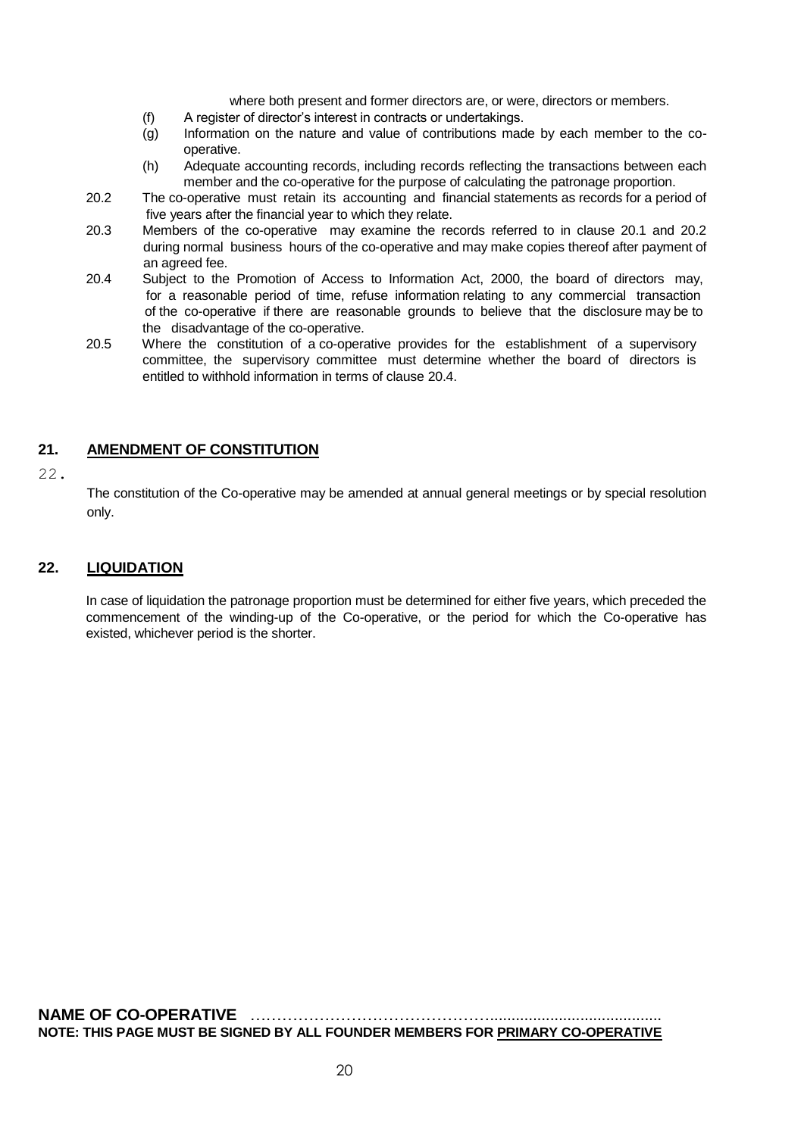where both present and former directors are, or were, directors or members.

- (f) A register of director's interest in contracts or undertakings.
- (g) Information on the nature and value of contributions made by each member to the cooperative.
- (h) Adequate accounting records, including records reflecting the transactions between each member and the co-operative for the purpose of calculating the patronage proportion.
- 20.2 The co-operative must retain its accounting and financial statements as records for a period of five years after the financial year to which they relate.
- 20.3 Members of the co-operative may examine the records referred to in clause 20.1 and 20.2 during normal business hours of the co-operative and may make copies thereof after payment of an agreed fee.
- 20.4 Subject to the Promotion of Access to Information Act, 2000, the board of directors may, for a reasonable period of time, refuse information relating to any commercial transaction of the co-operative if there are reasonable grounds to believe that the disclosure may be to the disadvantage of the co-operative.
- 20.5 Where the constitution of a co-operative provides for the establishment of a supervisory committee, the supervisory committee must determine whether the board of directors is entitled to withhold information in terms of clause 20.4.

# <span id="page-19-0"></span>**21. AMENDMENT OF CONSTITUTION**

#### 22.

The constitution of the Co-operative may be amended at annual general meetings or by special resolution only.

## **22. LIQUIDATION**

In case of liquidation the patronage proportion must be determined for either five years, which preceded the commencement of the winding-up of the Co-operative, or the period for which the Co-operative has existed, whichever period is the shorter.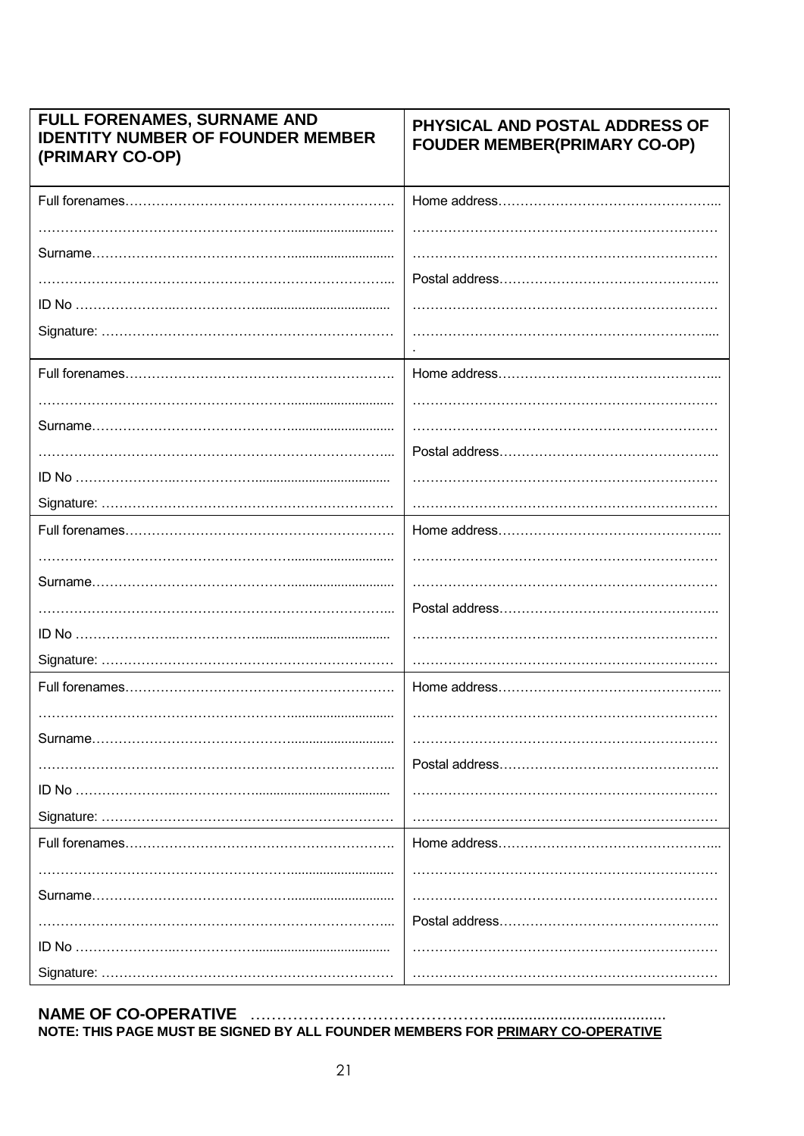| FULL FORENAMES, SURNAME AND<br><b>IDENTITY NUMBER OF FOUNDER MEMBER</b><br>(PRIMARY CO-OP) | PHYSICAL AND POSTAL ADDRESS OF<br><b>FOUDER MEMBER(PRIMARY CO-OP)</b> |
|--------------------------------------------------------------------------------------------|-----------------------------------------------------------------------|
|                                                                                            |                                                                       |
|                                                                                            |                                                                       |
|                                                                                            |                                                                       |
|                                                                                            |                                                                       |
|                                                                                            |                                                                       |
|                                                                                            |                                                                       |
|                                                                                            |                                                                       |
|                                                                                            |                                                                       |
|                                                                                            |                                                                       |
|                                                                                            |                                                                       |
|                                                                                            |                                                                       |
|                                                                                            |                                                                       |
|                                                                                            |                                                                       |
|                                                                                            |                                                                       |
|                                                                                            |                                                                       |
|                                                                                            |                                                                       |
|                                                                                            |                                                                       |
|                                                                                            |                                                                       |
|                                                                                            |                                                                       |
|                                                                                            |                                                                       |
|                                                                                            |                                                                       |
|                                                                                            |                                                                       |
|                                                                                            |                                                                       |
|                                                                                            |                                                                       |
|                                                                                            |                                                                       |
|                                                                                            |                                                                       |
|                                                                                            |                                                                       |
|                                                                                            |                                                                       |
|                                                                                            |                                                                       |
|                                                                                            |                                                                       |

NAME OF CO-OPERATIVE ACCONOMIC DESCRIPTION OF SALE FOR THE PAGE MUST BE SIGNED BY ALL FOUNDER MEMBERS FOR PRIMARY CO-OPERATIVE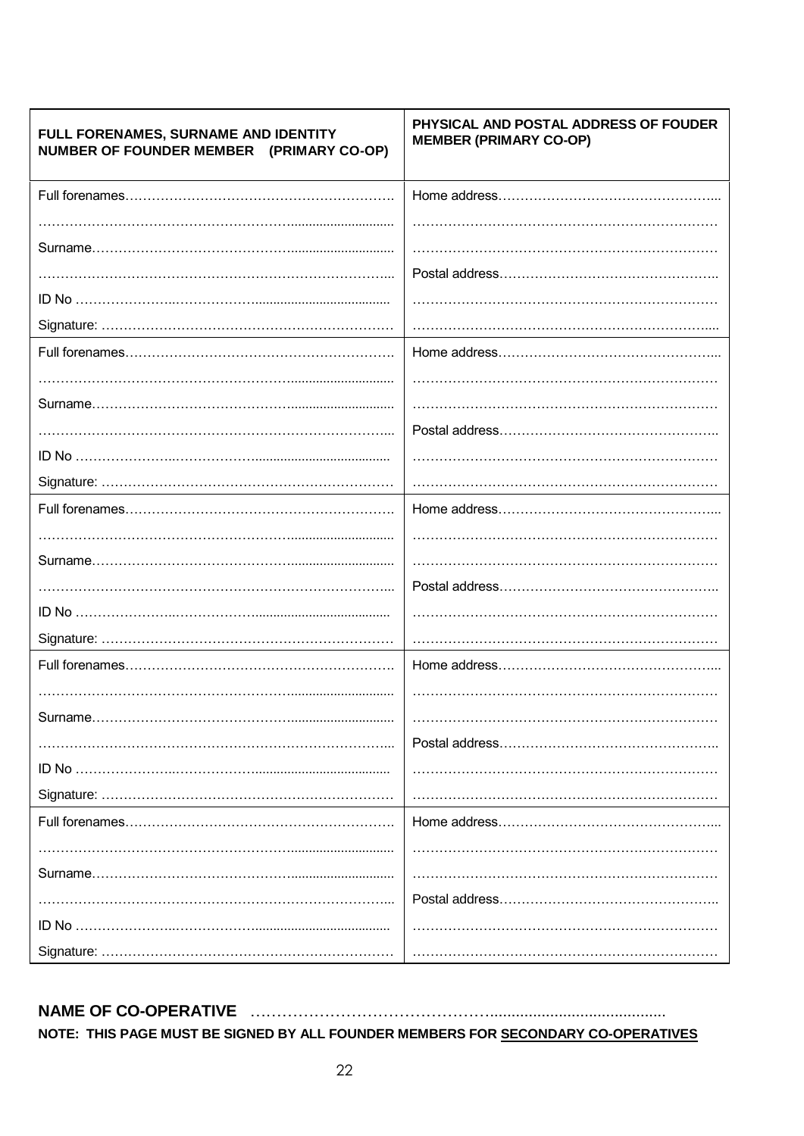| FULL FORENAMES, SURNAME AND IDENTITY<br>NUMBER OF FOUNDER MEMBER (PRIMARY CO-OP) | PHYSICAL AND POSTAL ADDRESS OF FOUDER<br><b>MEMBER (PRIMARY CO-OP)</b> |
|----------------------------------------------------------------------------------|------------------------------------------------------------------------|
|                                                                                  |                                                                        |
|                                                                                  |                                                                        |
|                                                                                  |                                                                        |
|                                                                                  |                                                                        |
|                                                                                  |                                                                        |
|                                                                                  |                                                                        |
|                                                                                  |                                                                        |
|                                                                                  |                                                                        |
|                                                                                  |                                                                        |
|                                                                                  |                                                                        |
|                                                                                  |                                                                        |
|                                                                                  |                                                                        |
|                                                                                  |                                                                        |
|                                                                                  |                                                                        |
|                                                                                  |                                                                        |
|                                                                                  |                                                                        |
|                                                                                  |                                                                        |
|                                                                                  |                                                                        |
|                                                                                  |                                                                        |
|                                                                                  |                                                                        |
| Surname                                                                          |                                                                        |
|                                                                                  |                                                                        |
|                                                                                  |                                                                        |
|                                                                                  |                                                                        |
|                                                                                  |                                                                        |
|                                                                                  |                                                                        |
|                                                                                  |                                                                        |
|                                                                                  |                                                                        |
|                                                                                  |                                                                        |
|                                                                                  |                                                                        |

# NAME OF CO-OPERATIVE ACCORDING ACCORDING TO A CONTROL CONTROL CONTROL CONTROL CONTROL CONTROL CONTROL CONTROL CONTROL CONTROL CONTROL CONTROL CONTROL CONTROL CONTROL CONTROL CONTROL CONTROL CONTROL CONTROL CONTROL CONTROL

NOTE: THIS PAGE MUST BE SIGNED BY ALL FOUNDER MEMBERS FOR SECONDARY CO-OPERATIVES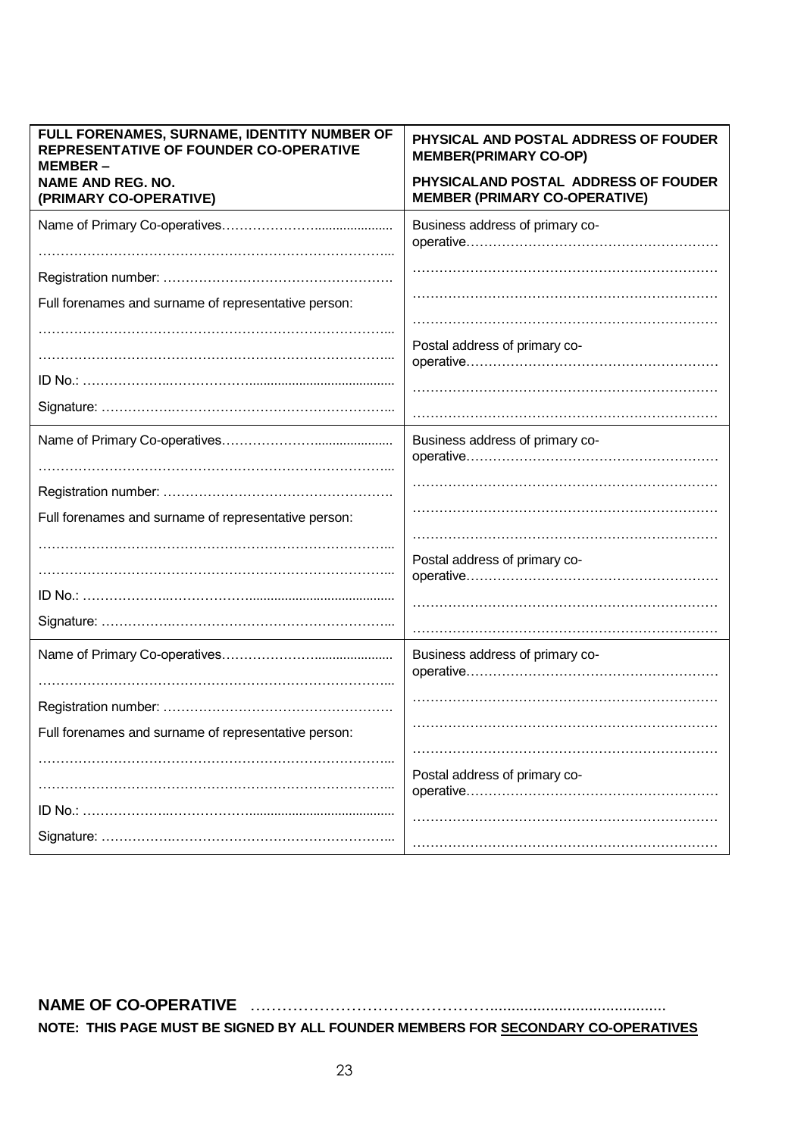| FULL FORENAMES, SURNAME, IDENTITY NUMBER OF<br>REPRESENTATIVE OF FOUNDER CO-OPERATIVE<br>MEMBER- | PHYSICAL AND POSTAL ADDRESS OF FOUDER<br><b>MEMBER(PRIMARY CO-OP)</b>        |
|--------------------------------------------------------------------------------------------------|------------------------------------------------------------------------------|
| <b>NAME AND REG. NO.</b><br>(PRIMARY CO-OPERATIVE)                                               | PHYSICALAND POSTAL ADDRESS OF FOUDER<br><b>MEMBER (PRIMARY CO-OPERATIVE)</b> |
|                                                                                                  | Business address of primary co-                                              |
|                                                                                                  |                                                                              |
|                                                                                                  |                                                                              |
| Full forenames and surname of representative person:                                             |                                                                              |
|                                                                                                  |                                                                              |
|                                                                                                  | Postal address of primary co-                                                |
|                                                                                                  |                                                                              |
|                                                                                                  |                                                                              |
|                                                                                                  |                                                                              |
|                                                                                                  | Business address of primary co-                                              |
|                                                                                                  |                                                                              |
|                                                                                                  |                                                                              |
| Full forenames and surname of representative person:                                             |                                                                              |
|                                                                                                  |                                                                              |
|                                                                                                  | Postal address of primary co-                                                |
|                                                                                                  |                                                                              |
|                                                                                                  |                                                                              |
|                                                                                                  |                                                                              |
|                                                                                                  | Business address of primary co-                                              |
|                                                                                                  |                                                                              |
|                                                                                                  |                                                                              |
|                                                                                                  |                                                                              |
| Full forenames and surname of representative person:                                             |                                                                              |
|                                                                                                  |                                                                              |
|                                                                                                  | Postal address of primary co-                                                |
|                                                                                                  |                                                                              |
|                                                                                                  |                                                                              |
|                                                                                                  |                                                                              |

**NAME OF CO-OPERATIVE** ……………………………………….........................................

**NOTE: THIS PAGE MUST BE SIGNED BY ALL FOUNDER MEMBERS FOR SECONDARY CO-OPERATIVES**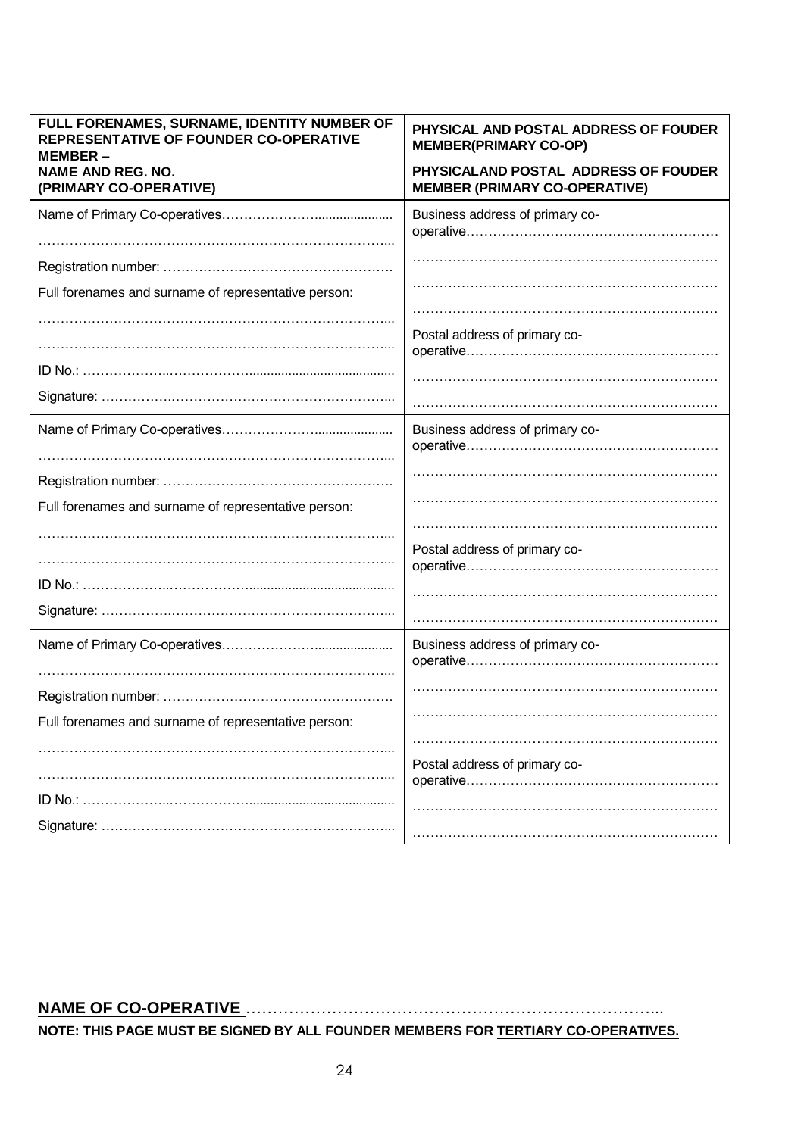| FULL FORENAMES, SURNAME, IDENTITY NUMBER OF<br>REPRESENTATIVE OF FOUNDER CO-OPERATIVE<br>MEMBER – | PHYSICAL AND POSTAL ADDRESS OF FOUDER<br><b>MEMBER(PRIMARY CO-OP)</b>        |
|---------------------------------------------------------------------------------------------------|------------------------------------------------------------------------------|
| <b>NAME AND REG. NO.</b><br>(PRIMARY CO-OPERATIVE)                                                | PHYSICALAND POSTAL ADDRESS OF FOUDER<br><b>MEMBER (PRIMARY CO-OPERATIVE)</b> |
|                                                                                                   | Business address of primary co-                                              |
|                                                                                                   |                                                                              |
| Full forenames and surname of representative person:                                              |                                                                              |
|                                                                                                   | Postal address of primary co-                                                |
|                                                                                                   |                                                                              |
|                                                                                                   |                                                                              |
|                                                                                                   | Business address of primary co-                                              |
|                                                                                                   |                                                                              |
|                                                                                                   |                                                                              |
| Full forenames and surname of representative person:                                              |                                                                              |
|                                                                                                   |                                                                              |
|                                                                                                   | Postal address of primary co-                                                |
|                                                                                                   |                                                                              |
|                                                                                                   |                                                                              |
|                                                                                                   |                                                                              |
|                                                                                                   | Business address of primary co-                                              |
|                                                                                                   |                                                                              |
|                                                                                                   |                                                                              |
| Full forenames and surname of representative person:                                              |                                                                              |
|                                                                                                   |                                                                              |
|                                                                                                   | Postal address of primary co-                                                |
|                                                                                                   |                                                                              |
|                                                                                                   |                                                                              |
|                                                                                                   |                                                                              |

# **NAME OF CO-OPERATIVE** …………………………………………………………………...

**NOTE: THIS PAGE MUST BE SIGNED BY ALL FOUNDER MEMBERS FOR TERTIARY CO-OPERATIVES.**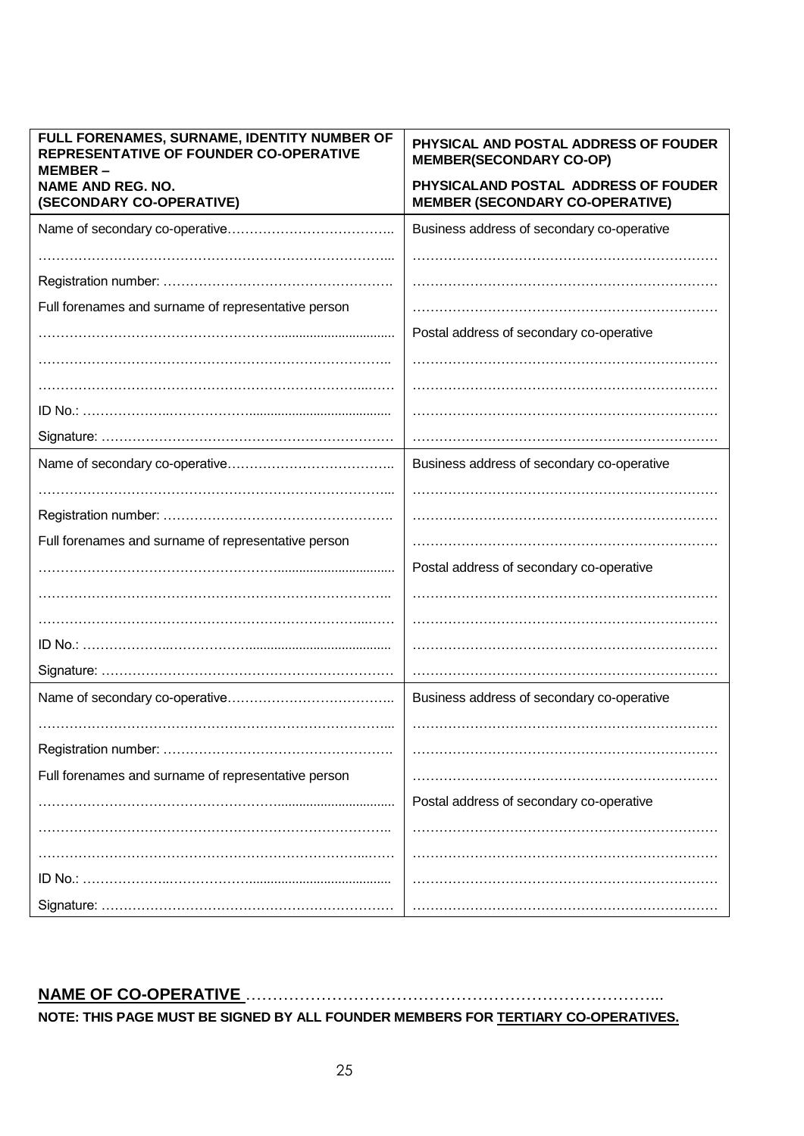| FULL FORENAMES, SURNAME, IDENTITY NUMBER OF<br><b>REPRESENTATIVE OF FOUNDER CO-OPERATIVE</b><br>MEMBER – | PHYSICAL AND POSTAL ADDRESS OF FOUDER<br><b>MEMBER(SECONDARY CO-OP)</b>        |
|----------------------------------------------------------------------------------------------------------|--------------------------------------------------------------------------------|
| <b>NAME AND REG. NO.</b><br>(SECONDARY CO-OPERATIVE)                                                     | PHYSICALAND POSTAL ADDRESS OF FOUDER<br><b>MEMBER (SECONDARY CO-OPERATIVE)</b> |
|                                                                                                          | Business address of secondary co-operative                                     |
|                                                                                                          |                                                                                |
|                                                                                                          |                                                                                |
| Full forenames and surname of representative person                                                      |                                                                                |
|                                                                                                          | Postal address of secondary co-operative                                       |
|                                                                                                          |                                                                                |
|                                                                                                          |                                                                                |
|                                                                                                          |                                                                                |
|                                                                                                          |                                                                                |
|                                                                                                          | Business address of secondary co-operative                                     |
|                                                                                                          |                                                                                |
|                                                                                                          |                                                                                |
| Full forenames and surname of representative person                                                      |                                                                                |
|                                                                                                          | Postal address of secondary co-operative                                       |
|                                                                                                          |                                                                                |
|                                                                                                          |                                                                                |
|                                                                                                          |                                                                                |
|                                                                                                          |                                                                                |
|                                                                                                          | Business address of secondary co-operative                                     |
|                                                                                                          |                                                                                |
|                                                                                                          |                                                                                |
|                                                                                                          |                                                                                |
| Full forenames and surname of representative person                                                      |                                                                                |
|                                                                                                          | Postal address of secondary co-operative                                       |
|                                                                                                          |                                                                                |
|                                                                                                          |                                                                                |
|                                                                                                          |                                                                                |
|                                                                                                          |                                                                                |

# **NAME OF CO-OPERATIVE** …………………………………………………………………...

**NOTE: THIS PAGE MUST BE SIGNED BY ALL FOUNDER MEMBERS FOR TERTIARY CO-OPERATIVES.**